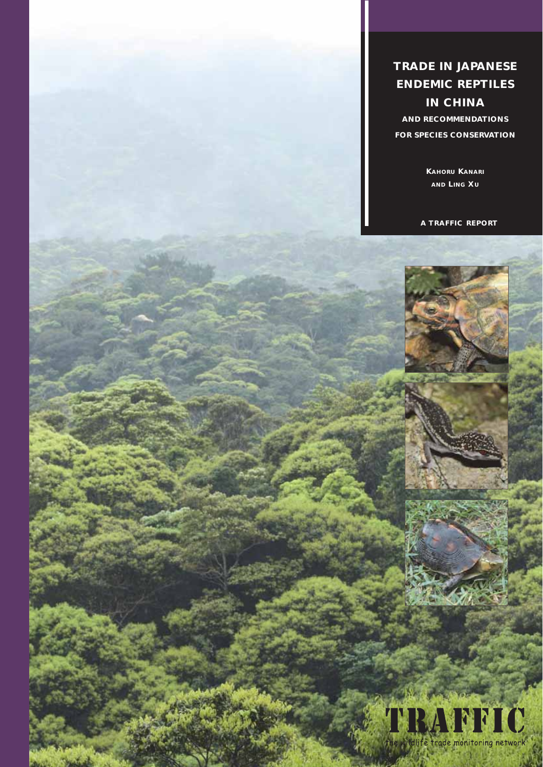**TRADE IN JAPANESE ENDEMIC REPTILES IN CHINA**

**AND RECOMMENDATIONS FOR SPECIES CONSERVATION**

> **KAHORU KANARI AND LING XU**

**A TRAFFIC REPORT**



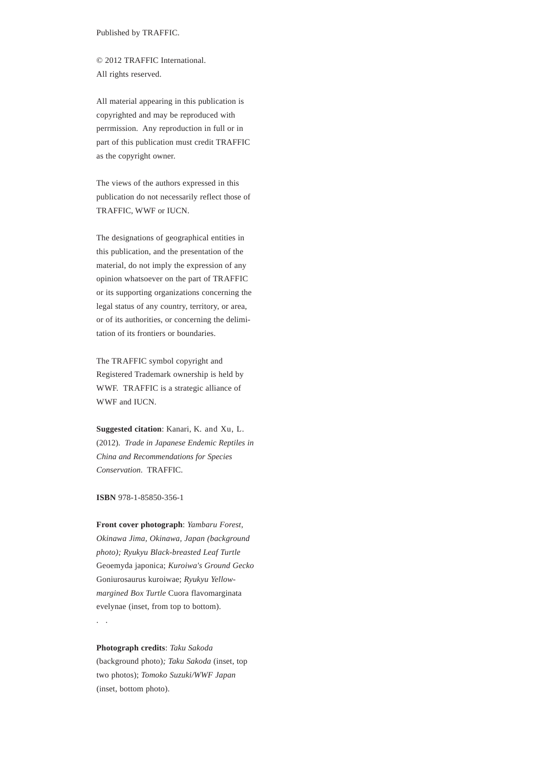Published by TRAFFIC.

© 2012 TRAFFIC International. All rights reserved.

All material appearing in this publication is copyrighted and may be reproduced with perrmission. Any reproduction in full or in part of this publication must credit TRAFFIC as the copyright owner.

The views of the authors expressed in this publication do not necessarily reflect those of TRAFFIC, WWF or IUCN.

The designations of geographical entities in this publication, and the presentation of the material, do not imply the expression of any opinion whatsoever on the part of TRAFFIC or its supporting organizations concerning the legal status of any country, territory, or area, or of its authorities, or concerning the delimitation of its frontiers or boundaries.

The TRAFFIC symbol copyright and Registered Trademark ownership is held by WWF. TRAFFIC is a strategic alliance of WWF and IUCN.

**Suggested citation**: Kanari, K. and Xu, L. (2012). *Trade in Japanese Endemic Reptiles in China and Recommendations for Species Conservation*. TRAFFIC.

**ISBN** 978-1-85850-356-1

**Front cover photograph**: *Yambaru Forest, Okinawa Jima, Okinawa, Japan (background photo); Ryukyu Black-breasted Leaf Turtle* Geoemyda japonica; *Kuroiwa's Ground Gecko* Goniurosaurus kuroiwae; *Ryukyu Yellowmargined Box Turtle* Cuora flavomarginata evelynae (inset, from top to bottom).

. .

**Photograph credits**: *Taku Sakoda* (background photo)*; Taku Sakoda* (inset, top two photos); *Tomoko Suzuki/WWF Japan* (inset, bottom photo).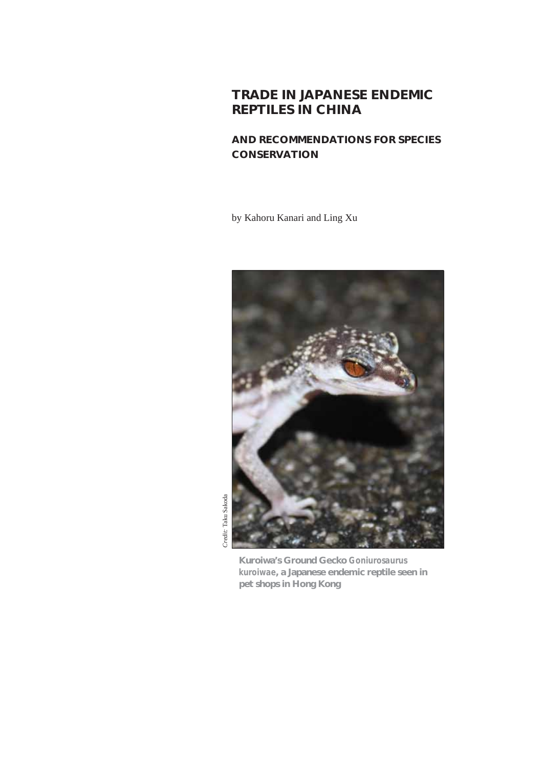## **TRADE IN JAPANESE ENDEMIC REPTILES IN CHINA**

## **AND RECOMMENDATIONS FOR SPECIES CONSERVATION**

by Kahoru Kanari and Ling Xu



**Kuroiwa's Ground Gecko** *Goniurosaurus kuroiwae***, a Japanese endemic reptile seen in pet shops in Hong Kong**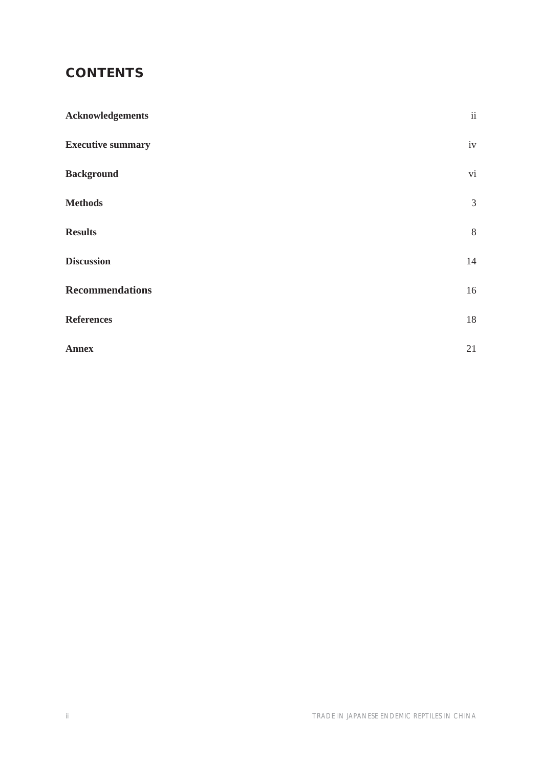# **CONTENTS**

| <b>Acknowledgements</b>  | $\mathrm{ii}$  |
|--------------------------|----------------|
| <b>Executive summary</b> | $\rm iv$       |
| <b>Background</b>        | $\rm{vi}$      |
| <b>Methods</b>           | $\mathfrak{Z}$ |
| <b>Results</b>           | $8\,$          |
| <b>Discussion</b>        | 14             |
| <b>Recommendations</b>   | $16\,$         |
| <b>References</b>        | 18             |
| <b>Annex</b>             | 21             |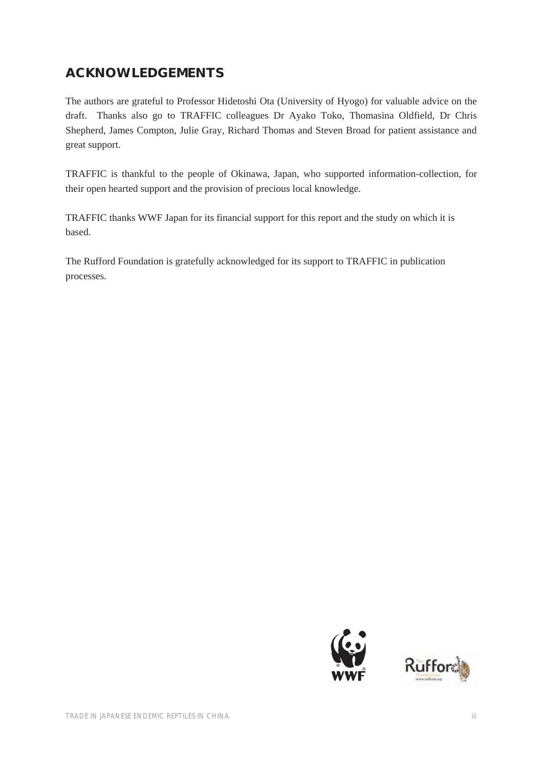# **ACKNOWLEDGEMENTS**

The authors are grateful to Professor Hidetoshi Ota (University of Hyogo) for valuable advice on the draft. Thanks also go to TRAFFIC colleagues Dr Ayako Toko, Thomasina Oldfield, Dr Chris Shepherd, James Compton, Julie Gray, Richard Thomas and Steven Broad for patient assistance and great support.

TRAFFIC is thankful to the people of Okinawa, Japan, who supported information-collection, for their open hearted support and the provision of precious local knowledge.

TRAFFIC thanks WWF Japan for its financial support for this report and the study on which it is based.

The Rufford Foundation is gratefully acknowledged for its support to TRAFFIC in publication processes.



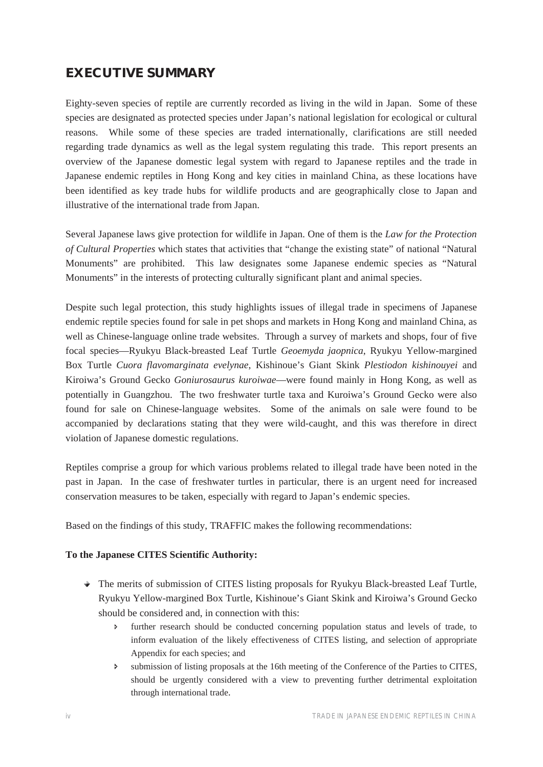# **EXECUTIVE SUMMARY**

Eighty-seven species of reptile are currently recorded as living in the wild in Japan. Some of these species are designated as protected species under Japan's national legislation for ecological or cultural reasons. While some of these species are traded internationally, clarifications are still needed regarding trade dynamics as well as the legal system regulating this trade. This report presents an overview of the Japanese domestic legal system with regard to Japanese reptiles and the trade in Japanese endemic reptiles in Hong Kong and key cities in mainland China, as these locations have been identified as key trade hubs for wildlife products and are geographically close to Japan and illustrative of the international trade from Japan.

Several Japanese laws give protection for wildlife in Japan. One of them is the *Law for the Protection of Cultural Properties* which states that activities that "change the existing state" of national "Natural Monuments" are prohibited. This law designates some Japanese endemic species as "Natural Monuments" in the interests of protecting culturally significant plant and animal species.

Despite such legal protection, this study highlights issues of illegal trade in specimens of Japanese endemic reptile species found for sale in pet shops and markets in Hong Kong and mainland China, as well as Chinese-language online trade websites. Through a survey of markets and shops, four of five focal species—Ryukyu Black-breasted Leaf Turtle *Geoemyda jaopnica*, Ryukyu Yellow-margined Box Turtle *Cuora flavomarginata evelynae*, Kishinoue's Giant Skink *Plestiodon kishinouyei* and Kiroiwa's Ground Gecko *Goniurosaurus kuroiwae*—were found mainly in Hong Kong, as well as potentially in Guangzhou. The two freshwater turtle taxa and Kuroiwa's Ground Gecko were also found for sale on Chinese-language websites. Some of the animals on sale were found to be accompanied by declarations stating that they were wild-caught, and this was therefore in direct violation of Japanese domestic regulations.

Reptiles comprise a group for which various problems related to illegal trade have been noted in the past in Japan. In the case of freshwater turtles in particular, there is an urgent need for increased conservation measures to be taken, especially with regard to Japan's endemic species.

Based on the findings of this study, TRAFFIC makes the following recommendations:

#### **To the Japanese CITES Scientific Authority:**

- $\rightarrow$  The merits of submission of CITES listing proposals for Ryukyu Black-breasted Leaf Turtle, Ryukyu Yellow-margined Box Turtle, Kishinoue's Giant Skink and Kiroiwa's Ground Gecko should be considered and, in connection with this:
	- Ð further research should be conducted concerning population status and levels of trade, to inform evaluation of the likely effectiveness of CITES listing, and selection of appropriate Appendix for each species; and
	- $\triangleright$  submission of listing proposals at the 16th meeting of the Conference of the Parties to CITES, should be urgently considered with a view to preventing further detrimental exploitation through international trade.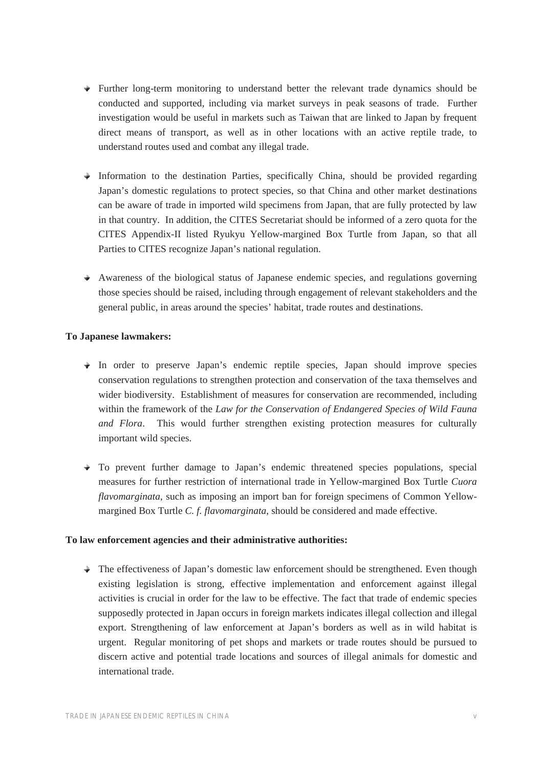- $\rightarrow$  Further long-term monitoring to understand better the relevant trade dynamics should be conducted and supported, including via market surveys in peak seasons of trade. Further investigation would be useful in markets such as Taiwan that are linked to Japan by frequent direct means of transport, as well as in other locations with an active reptile trade, to understand routes used and combat any illegal trade.
- $\rightarrow$  Information to the destination Parties, specifically China, should be provided regarding Japan's domestic regulations to protect species, so that China and other market destinations can be aware of trade in imported wild specimens from Japan, that are fully protected by law in that country. In addition, the CITES Secretariat should be informed of a zero quota for the CITES Appendix-II listed Ryukyu Yellow-margined Box Turtle from Japan, so that all Parties to CITES recognize Japan's national regulation.
- $\rightarrow$  Awareness of the biological status of Japanese endemic species, and regulations governing those species should be raised, including through engagement of relevant stakeholders and the general public, in areas around the species' habitat, trade routes and destinations.

#### **To Japanese lawmakers:**

- $\bullet$  In order to preserve Japan's endemic reptile species, Japan should improve species conservation regulations to strengthen protection and conservation of the taxa themselves and wider biodiversity. Establishment of measures for conservation are recommended, including within the framework of the *Law for the Conservation of Endangered Species of Wild Fauna and Flora*. This would further strengthen existing protection measures for culturally important wild species.
- $\rightarrow$  To prevent further damage to Japan's endemic threatened species populations, special measures for further restriction of international trade in Yellow-margined Box Turtle *Cuora flavomarginata*, such as imposing an import ban for foreign specimens of Common Yellowmargined Box Turtle *C. f. flavomarginata*, should be considered and made effective.

#### **To law enforcement agencies and their administrative authorities:**

 $\rightarrow$  The effectiveness of Japan's domestic law enforcement should be strengthened. Even though existing legislation is strong, effective implementation and enforcement against illegal activities is crucial in order for the law to be effective. The fact that trade of endemic species supposedly protected in Japan occurs in foreign markets indicates illegal collection and illegal export. Strengthening of law enforcement at Japan's borders as well as in wild habitat is urgent. Regular monitoring of pet shops and markets or trade routes should be pursued to discern active and potential trade locations and sources of illegal animals for domestic and international trade.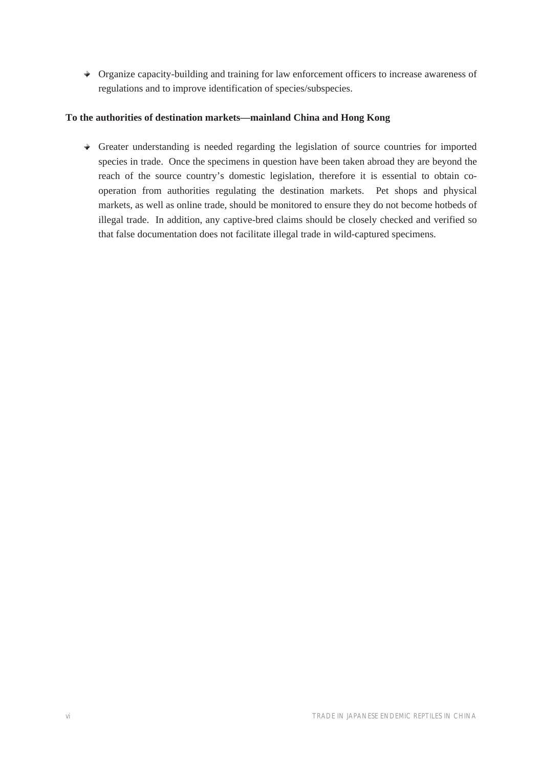Organize capacity-building and training for law enforcement officers to increase awareness of regulations and to improve identification of species/subspecies.

#### **To the authorities of destination markets—mainland China and Hong Kong**

 $\rightarrow$  Greater understanding is needed regarding the legislation of source countries for imported species in trade. Once the specimens in question have been taken abroad they are beyond the reach of the source country's domestic legislation, therefore it is essential to obtain cooperation from authorities regulating the destination markets. Pet shops and physical markets, as well as online trade, should be monitored to ensure they do not become hotbeds of illegal trade. In addition, any captive-bred claims should be closely checked and verified so that false documentation does not facilitate illegal trade in wild-captured specimens.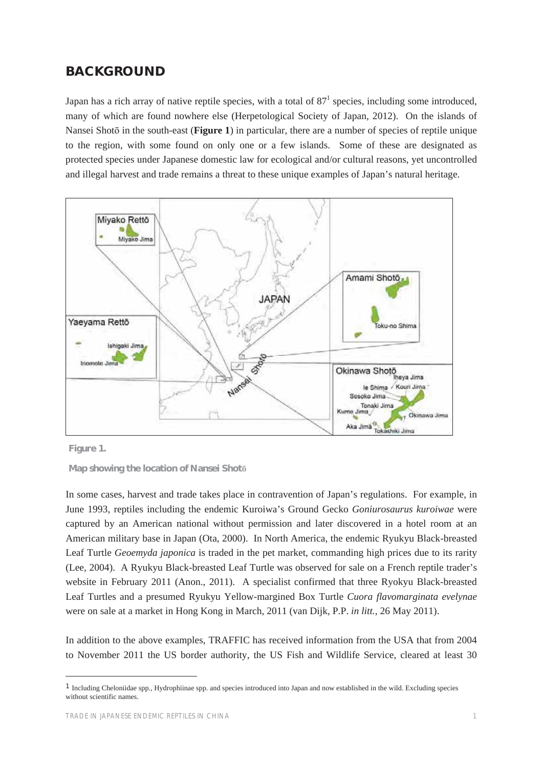## **BACKGROUND**

Japan has a rich array of native reptile species, with a total of  $87<sup>1</sup>$  species, including some introduced, many of which are found nowhere else (Herpetological Society of Japan, 2012). On the islands of Nansei Shotō in the south-east (**Figure 1**) in particular, there are a number of species of reptile unique to the region, with some found on only one or a few islands. Some of these are designated as protected species under Japanese domestic law for ecological and/or cultural reasons, yet uncontrolled and illegal harvest and trade remains a threat to these unique examples of Japan's natural heritage.





**Map showing the location of Nansei Shoto** 

In some cases, harvest and trade takes place in contravention of Japan's regulations. For example, in June 1993, reptiles including the endemic Kuroiwa's Ground Gecko *Goniurosaurus kuroiwae* were captured by an American national without permission and later discovered in a hotel room at an American military base in Japan (Ota, 2000). In North America, the endemic Ryukyu Black-breasted Leaf Turtle *Geoemyda japonica* is traded in the pet market, commanding high prices due to its rarity (Lee, 2004). A Ryukyu Black-breasted Leaf Turtle was observed for sale on a French reptile trader's website in February 2011 (Anon., 2011). A specialist confirmed that three Ryokyu Black-breasted Leaf Turtles and a presumed Ryukyu Yellow-margined Box Turtle *Cuora flavomarginata evelynae* were on sale at a market in Hong Kong in March, 2011 (van Dijk, P.P. *in litt.*, 26 May 2011).

In addition to the above examples, TRAFFIC has received information from the USA that from 2004 to November 2011 the US border authority, the US Fish and Wildlife Service, cleared at least 30

<sup>1</sup> Including Cheloniidae spp., Hydrophiinae spp. and species introduced into Japan and now established in the wild. Excluding species without scientific names.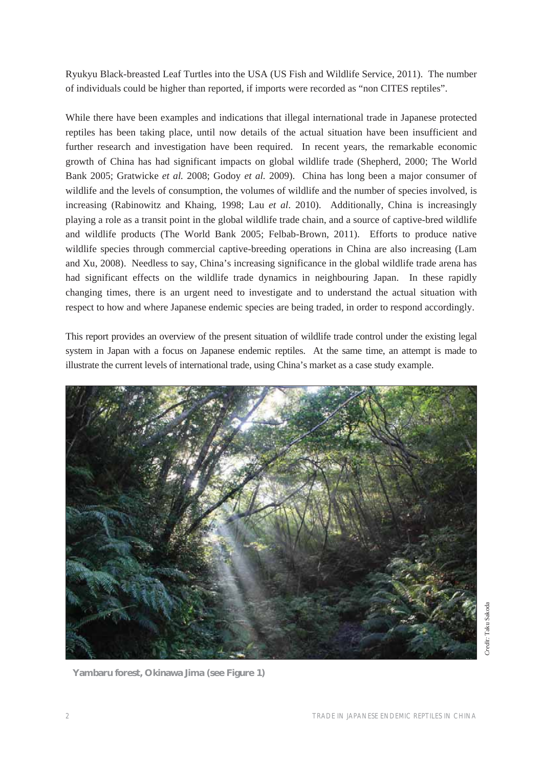Ryukyu Black-breasted Leaf Turtles into the USA (US Fish and Wildlife Service, 2011). The number of individuals could be higher than reported, if imports were recorded as "non CITES reptiles".

While there have been examples and indications that illegal international trade in Japanese protected reptiles has been taking place, until now details of the actual situation have been insufficient and further research and investigation have been required. In recent years, the remarkable economic growth of China has had significant impacts on global wildlife trade (Shepherd, 2000; The World Bank 2005; Gratwicke *et al.* 2008; Godoy *et al.* 2009). China has long been a major consumer of wildlife and the levels of consumption, the volumes of wildlife and the number of species involved, is increasing (Rabinowitz and Khaing, 1998; Lau *et al*. 2010). Additionally, China is increasingly playing a role as a transit point in the global wildlife trade chain, and a source of captive-bred wildlife and wildlife products (The World Bank 2005; Felbab-Brown, 2011). Efforts to produce native wildlife species through commercial captive-breeding operations in China are also increasing (Lam and Xu, 2008). Needless to say, China's increasing significance in the global wildlife trade arena has had significant effects on the wildlife trade dynamics in neighbouring Japan. In these rapidly changing times, there is an urgent need to investigate and to understand the actual situation with respect to how and where Japanese endemic species are being traded, in order to respond accordingly.

This report provides an overview of the present situation of wildlife trade control under the existing legal system in Japan with a focus on Japanese endemic reptiles. At the same time, an attempt is made to illustrate the current levels of international trade, using China's market as a case study example.



**Yambaru forest, Okinawa Jima (see Figure 1)**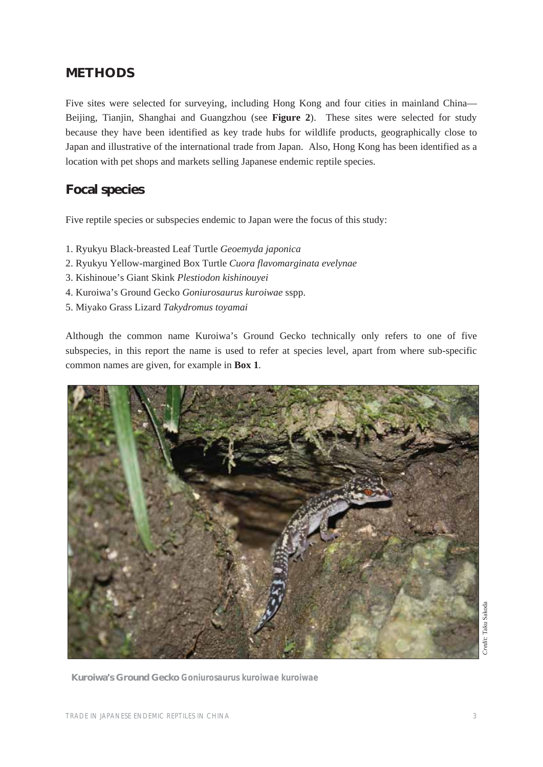## **METHODS**

Five sites were selected for surveying, including Hong Kong and four cities in mainland China— Beijing, Tianjin, Shanghai and Guangzhou (see **Figure 2**). These sites were selected for study because they have been identified as key trade hubs for wildlife products, geographically close to Japan and illustrative of the international trade from Japan. Also, Hong Kong has been identified as a location with pet shops and markets selling Japanese endemic reptile species.

## **Focal species**

Five reptile species or subspecies endemic to Japan were the focus of this study:

- 1. Ryukyu Black-breasted Leaf Turtle *Geoemyda japonica*
- 2. Ryukyu Yellow-margined Box Turtle *Cuora flavomarginata evelynae*
- 3. Kishinoue's Giant Skink *Plestiodon kishinouyei*
- 4. Kuroiwa's Ground Gecko *Goniurosaurus kuroiwae* sspp.
- 5. Miyako Grass Lizard *Takydromus toyamai*

Although the common name Kuroiwa's Ground Gecko technically only refers to one of five subspecies, in this report the name is used to refer at species level, apart from where sub-specific common names are given, for example in **Box 1**.



**Kuroiwa's Ground Gecko** *Goniurosaurus kuroiwae kuroiwae*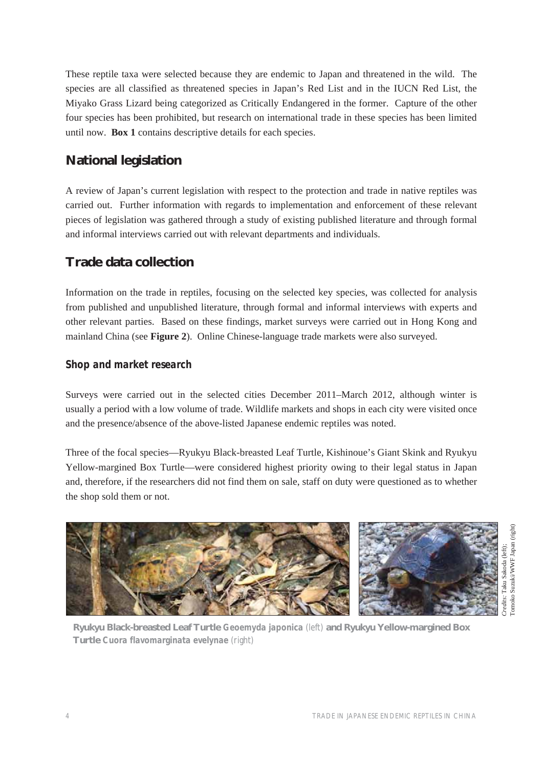These reptile taxa were selected because they are endemic to Japan and threatened in the wild. The species are all classified as threatened species in Japan's Red List and in the IUCN Red List, the Miyako Grass Lizard being categorized as Critically Endangered in the former. Capture of the other four species has been prohibited, but research on international trade in these species has been limited until now. **Box 1** contains descriptive details for each species.

# **National legislation**

A review of Japan's current legislation with respect to the protection and trade in native reptiles was carried out. Further information with regards to implementation and enforcement of these relevant pieces of legislation was gathered through a study of existing published literature and through formal and informal interviews carried out with relevant departments and individuals.

# **Trade data collection**

Information on the trade in reptiles, focusing on the selected key species, was collected for analysis from published and unpublished literature, through formal and informal interviews with experts and other relevant parties. Based on these findings, market surveys were carried out in Hong Kong and mainland China (see **Figure 2**). Online Chinese-language trade markets were also surveyed.

### *Shop and market research*

Surveys were carried out in the selected cities December 2011–March 2012, although winter is usually a period with a low volume of trade. Wildlife markets and shops in each city were visited once and the presence/absence of the above-listed Japanese endemic reptiles was noted.

Three of the focal species—Ryukyu Black-breasted Leaf Turtle, Kishinoue's Giant Skink and Ryukyu Yellow-margined Box Turtle—were considered highest priority owing to their legal status in Japan and, therefore, if the researchers did not find them on sale, staff on duty were questioned as to whether the shop sold them or not.



**Ryukyu Black-breasted Leaf Turtle** *Geoemyda japonica* (left) **and Ryukyu Yellow-margined Box Turtle** *Cuora flavomarginata evelynae* (right)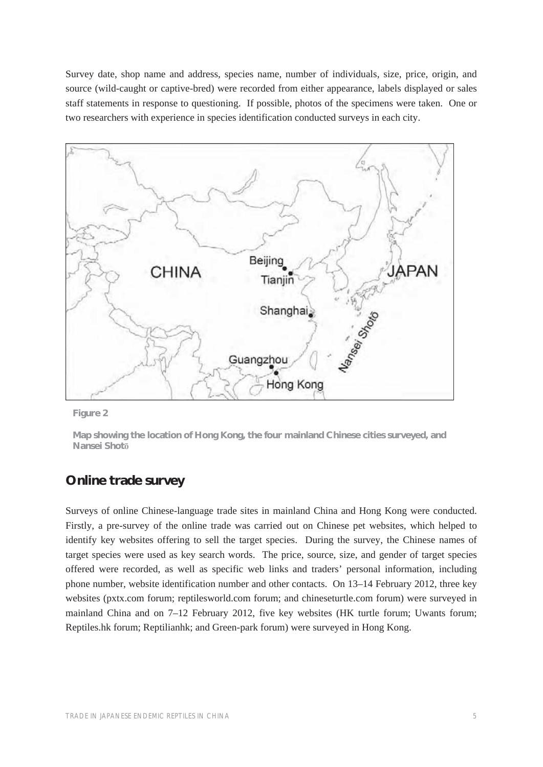Survey date, shop name and address, species name, number of individuals, size, price, origin, and source (wild-caught or captive-bred) were recorded from either appearance, labels displayed or sales staff statements in response to questioning. If possible, photos of the specimens were taken. One or two researchers with experience in species identification conducted surveys in each city.



**Figure 2** 

**Map showing the location of Hong Kong, the four mainland Chinese cities surveyed, and Nansei Shotǀ**

### **Online trade survey**

Surveys of online Chinese-language trade sites in mainland China and Hong Kong were conducted. Firstly, a pre-survey of the online trade was carried out on Chinese pet websites, which helped to identify key websites offering to sell the target species. During the survey, the Chinese names of target species were used as key search words. The price, source, size, and gender of target species offered were recorded, as well as specific web links and traders' personal information, including phone number, website identification number and other contacts. On 13–14 February 2012, three key websites (pxtx.com forum; reptilesworld.com forum; and chineseturtle.com forum) were surveyed in mainland China and on 7–12 February 2012, five key websites (HK turtle forum; Uwants forum; Reptiles.hk forum; Reptilianhk; and Green-park forum) were surveyed in Hong Kong.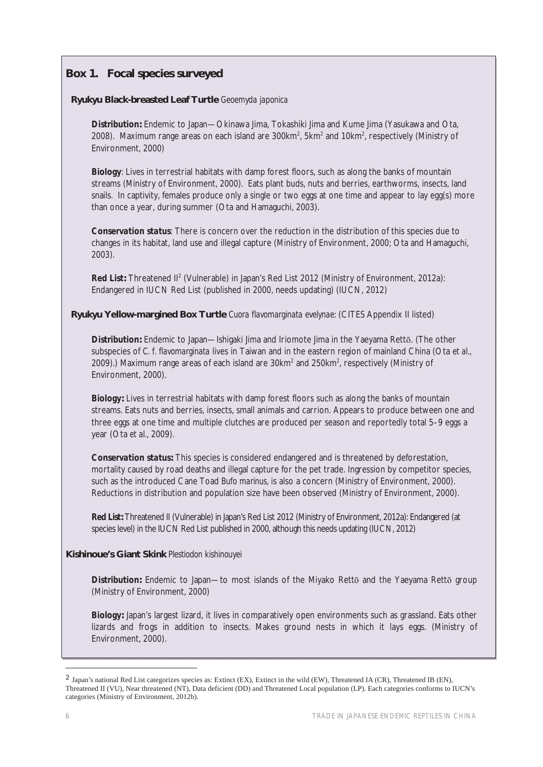### **Box 1. Focal species surveyed**

#### **Ryukyu Black-breasted Leaf Turtle** *Geoemyda japonica*

*Distribution***:** Endemic to Japan—Okinawa Jima, Tokashiki Jima and Kume Jima (Yasukawa and Ota, 2008). Maximum range areas on each island are  $300 \text{km}^2$ ,  $5 \text{km}^2$  and  $10 \text{km}^2$ , respectively (Ministry of Environment, 2000)

*Biology*: Lives in terrestrial habitats with damp forest floors, such as along the banks of mountain streams (Ministry of Environment, 2000). Eats plant buds, nuts and berries, earthworms, insects, land snails. In captivity, females produce only a single or two eggs at one time and appear to lay egg(s) more than once a year, during summer (Ota and Hamaguchi, 2003).

*Conservation status*: There is concern over the reduction in the distribution of this species due to changes in its habitat, land use and illegal capture (Ministry of Environment, 2000; Ota and Hamaguchi, 2003).

Red List: Threatened II<sup>2</sup> (Vulnerable) in Japan's Red List 2012 (Ministry of Environment, 2012a): Endangered in IUCN Red List (published in 2000, needs updating) (IUCN, 2012)

**Ryukyu Yellow-margined Box Turtle** *Cuora flavomarginata evelynae:* (CITES Appendix II listed)

**Distribution:** Endemic to Japan—Ishigaki Jima and Iriomote Jima in the Yaeyama Rettō. (The other subspecies of *C. f. flavomarginata* lives in Taiwan and in the eastern region of mainland China (Ota *et al.*, 2009).) Maximum range areas of each island are  $30km^2$  and  $250km^2$ , respectively (Ministry of Environment, 2000).

*Biology***:** Lives in terrestrial habitats with damp forest floors such as along the banks of mountain streams. Eats nuts and berries, insects, small animals and carrion. Appears to produce between one and three eggs at one time and multiple clutches are produced per season and reportedly total 5–9 eggs a year (Ota *et al.*, 2009).

*Conservation status***:** This species is considered endangered and is threatened by deforestation, mortality caused by road deaths and illegal capture for the pet trade. Ingression by competitor species, such as the introduced Cane Toad *Bufo marinus,* is also a concern (Ministry of Environment, 2000). Reductions in distribution and population size have been observed (Ministry of Environment, 2000).

*Red List***:** Threatened II (Vulnerable) in Japan's Red List 2012 (Ministry of Environment, 2012a): Endangered (at species level) in the IUCN Red List published in 2000, although this needs updating (IUCN, 2012)

#### **Kishinoue's Giant Skink** *Plestiodon kishinouyei*

**Distribution:** Endemic to Japan—to most islands of the Miyako Retto and the Yaeyama Retto group (Ministry of Environment, 2000)

*Biology***:** Japan's largest lizard, it lives in comparatively open environments such as grassland. Eats other lizards and frogs in addition to insects. Makes ground nests in which it lays eggs. (Ministry of Environment, 2000).

<sup>2</sup> Japan's national Red List categorizes species as: Extinct (EX), Extinct in the wild (EW), Threatened IA (CR), Threatened IB (EN), Threatened II (VU), Near threatened (NT), Data deficient (DD) and Threatened Local population (LP). Each categories conforms to IUCN's categories (Ministry of Environment, 2012b).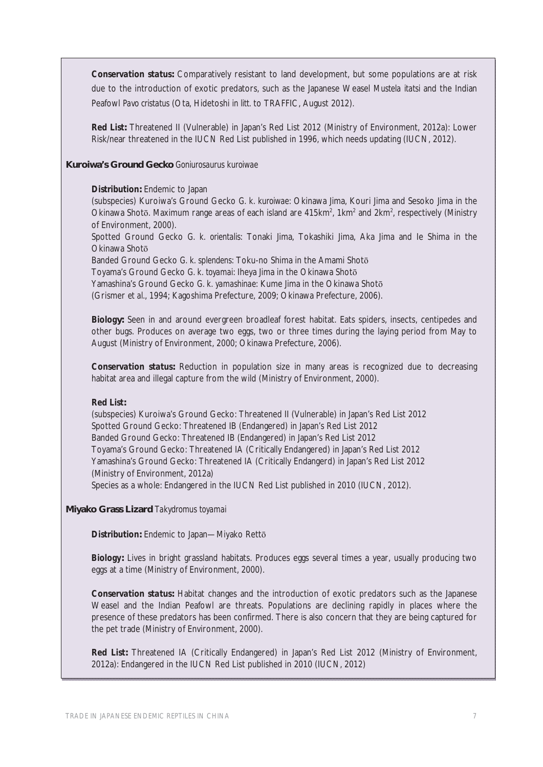*Conservation status***:** Comparatively resistant to land development, but some populations are at risk due to the introduction of exotic predators, such as the Japanese Weasel *Mustela itatsi* and the Indian Peafowl *Pavo cristatus* (Ota, Hidetoshi *in litt.* to TRAFFIC, August 2012).

*Red List***:** Threatened II (Vulnerable) in Japan's Red List 2012 (Ministry of Environment, 2012a): Lower Risk/near threatened in the IUCN Red List published in 1996, which needs updating (IUCN, 2012).

#### **Kuroiwa's Ground Gecko** *Goniurosaurus kuroiwae*

#### *Distribution***:** Endemic to Japan

(subspecies) Kuroiwa's Ground Gecko *G. k. kuroiwae*: Okinawa Jima, Kouri Jima and Sesoko Jima in the Okinawa Shotō. Maximum range areas of each island are  $415 \text{km}^2$ , 1km<sup>2</sup> and 2km<sup>2</sup>, respectively (Ministry of Environment, 2000).

Spotted Ground Gecko *G. k. orientalis*: Tonaki Jima, Tokashiki Jima, Aka Jima and Ie Shima in the Okinawa Shotō

Banded Ground Gecko *G. k. splendens*: Toku-no Shima in the Amami Shoto

Toyama's Ground Gecko *G. k. toyamai*: Iheya Jima in the Okinawa Shoto

Yamashina's Ground Gecko *G. k. yamashinae*: Kume Jima in the Okinawa Shotō

(Grismer *et al*., 1994; Kagoshima Prefecture, 2009; Okinawa Prefecture, 2006).

*Biolog***y:** Seen in and around evergreen broadleaf forest habitat. Eats spiders, insects, centipedes and other bugs. Produces on average two eggs, two or three times during the laying period from May to August (Ministry of Environment, 2000; Okinawa Prefecture, 2006).

**Conservation status:** Reduction in population size in many areas is recognized due to decreasing habitat area and illegal capture from the wild (Ministry of Environment, 2000).

#### *Red List***:**

(subspecies) Kuroiwa's Ground Gecko: Threatened II (Vulnerable) in Japan's Red List 2012 Spotted Ground Gecko: Threatened IB (Endangered) in Japan's Red List 2012 Banded Ground Gecko: Threatened IB (Endangered) in Japan's Red List 2012 Toyama's Ground Gecko: Threatened IA (Critically Endangered) in Japan's Red List 2012 Yamashina's Ground Gecko: Threatened IA (Critically Endangerd) in Japan's Red List 2012 (Ministry of Environment, 2012a) Species as a whole: Endangered in the IUCN Red List published in 2010 (IUCN, 2012).

**Miyako Grass Lizard** *Takydromus toyamai*

**Distribution:** Endemic to Japan—Miyako Rettō

**Biology:** Lives in bright grassland habitats. Produces eggs several times a year, usually producing two eggs at a time (Ministry of Environment, 2000).

*Conservation status***:** Habitat changes and the introduction of exotic predators such as the Japanese Weasel and the Indian Peafowl are threats. Populations are declining rapidly in places where the presence of these predators has been confirmed. There is also concern that they are being captured for the pet trade (Ministry of Environment, 2000).

*Red List***:** Threatened IA (Critically Endangered) in Japan's Red List 2012 (Ministry of Environment, 2012a): Endangered in the IUCN Red List published in 2010 (IUCN, 2012)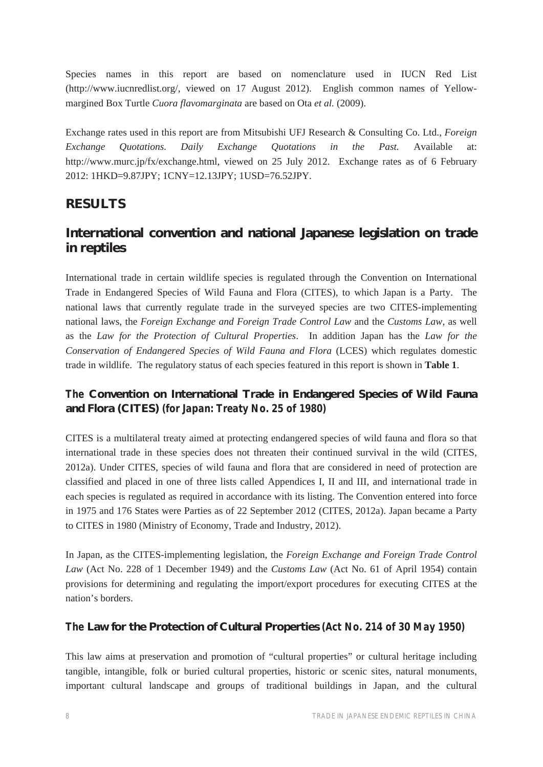Species names in this report are based on nomenclature used in IUCN Red List (http://www.iucnredlist.org/, viewed on 17 August 2012). English common names of Yellowmargined Box Turtle *Cuora flavomarginata* are based on Ota *et al.* (2009).

Exchange rates used in this report are from Mitsubishi UFJ Research & Consulting Co. Ltd., *Foreign Exchange Quotations. Daily Exchange Quotations in the Past.* Available at: http://www.murc.jp/fx/exchange.html, viewed on 25 July 2012. Exchange rates as of 6 February 2012: 1HKD=9.87JPY; 1CNY=12.13JPY; 1USD=76.52JPY.

## **RESULTS**

## **International convention and national Japanese legislation on trade in reptiles**

International trade in certain wildlife species is regulated through the Convention on International Trade in Endangered Species of Wild Fauna and Flora (CITES), to which Japan is a Party. The national laws that currently regulate trade in the surveyed species are two CITES-implementing national laws, the *Foreign Exchange and Foreign Trade Control Law* and the *Customs Law*, as well as the *Law for the Protection of Cultural Properties*. In addition Japan has the *Law for the Conservation of Endangered Species of Wild Fauna and Flora* (LCES) which regulates domestic trade in wildlife. The regulatory status of each species featured in this report is shown in **Table 1**.

## *The* **Convention on International Trade in Endangered Species of Wild Fauna and Flora (CITES)** *(for Japan: Treaty No. 25 of 1980)*

CITES is a multilateral treaty aimed at protecting endangered species of wild fauna and flora so that international trade in these species does not threaten their continued survival in the wild (CITES, 2012a). Under CITES, species of wild fauna and flora that are considered in need of protection are classified and placed in one of three lists called Appendices I, II and III, and international trade in each species is regulated as required in accordance with its listing. The Convention entered into force in 1975 and 176 States were Parties as of 22 September 2012 (CITES, 2012a). Japan became a Party to CITES in 1980 (Ministry of Economy, Trade and Industry, 2012).

In Japan, as the CITES-implementing legislation, the *Foreign Exchange and Foreign Trade Control Law* (Act No. 228 of 1 December 1949) and the *Customs Law* (Act No. 61 of April 1954) contain provisions for determining and regulating the import/export procedures for executing CITES at the nation's borders.

### *The* **Law for the Protection of Cultural Properties** *(Act No. 214 of 30 May 1950)*

This law aims at preservation and promotion of "cultural properties" or cultural heritage including tangible, intangible, folk or buried cultural properties, historic or scenic sites, natural monuments, important cultural landscape and groups of traditional buildings in Japan, and the cultural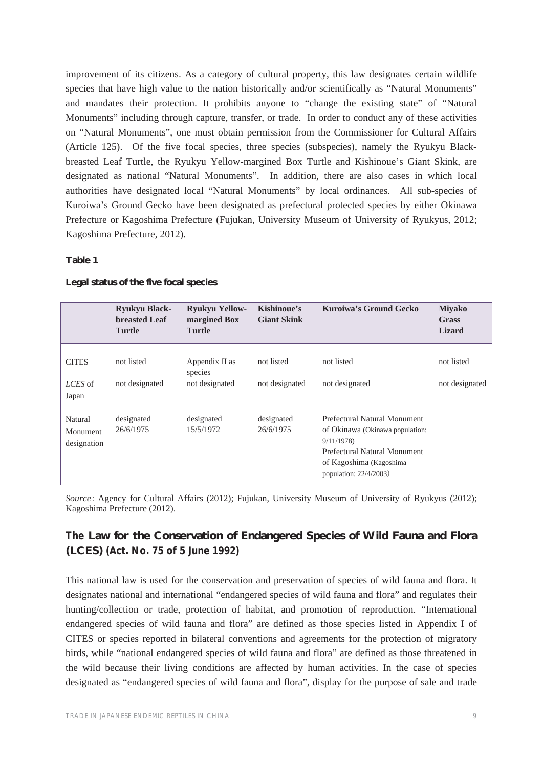improvement of its citizens. As a category of cultural property, this law designates certain wildlife species that have high value to the nation historically and/or scientifically as "Natural Monuments" and mandates their protection. It prohibits anyone to "change the existing state" of "Natural Monuments" including through capture, transfer, or trade. In order to conduct any of these activities on "Natural Monuments", one must obtain permission from the Commissioner for Cultural Affairs (Article 125). Of the five focal species, three species (subspecies), namely the Ryukyu Blackbreasted Leaf Turtle, the Ryukyu Yellow-margined Box Turtle and Kishinoue's Giant Skink, are designated as national "Natural Monuments". In addition, there are also cases in which local authorities have designated local "Natural Monuments" by local ordinances. All sub-species of Kuroiwa's Ground Gecko have been designated as prefectural protected species by either Okinawa Prefecture or Kagoshima Prefecture (Fujukan, University Museum of University of Ryukyus, 2012; Kagoshima Prefecture, 2012).

#### **Table 1**

|                                    | <b>Ryukyu Black-</b><br><b>breasted Leaf</b><br><b>Turtle</b> | <b>Ryukyu Yellow-</b><br>margined Box<br><b>Turtle</b> | Kishinoue's<br><b>Giant Skink</b> | Kuroiwa's Ground Gecko                                                                                                                                               | <b>Miyako</b><br><b>Grass</b><br><b>Lizard</b> |
|------------------------------------|---------------------------------------------------------------|--------------------------------------------------------|-----------------------------------|----------------------------------------------------------------------------------------------------------------------------------------------------------------------|------------------------------------------------|
| <b>CITES</b>                       | not listed                                                    | Appendix II as<br>species                              | not listed                        | not listed                                                                                                                                                           | not listed                                     |
| LCES of<br>Japan                   | not designated                                                | not designated                                         | not designated                    | not designated                                                                                                                                                       | not designated                                 |
| Natural<br>Monument<br>designation | designated<br>26/6/1975                                       | designated<br>15/5/1972                                | designated<br>26/6/1975           | Prefectural Natural Monument<br>of Okinawa (Okinawa population:<br>9/11/1978<br>Prefectural Natural Monument<br>of Kagoshima (Kagoshima<br>population: $22/4/2003$ ) |                                                |

#### **Legal status of the five focal species**

*Source*: Agency for Cultural Affairs (2012); Fujukan, University Museum of University of Ryukyus (2012); Kagoshima Prefecture (2012).

### *The* **Law for the Conservation of Endangered Species of Wild Fauna and Flora (LCES)** *(Act. No. 75 of 5 June 1992)*

This national law is used for the conservation and preservation of species of wild fauna and flora. It designates national and international "endangered species of wild fauna and flora" and regulates their hunting/collection or trade, protection of habitat, and promotion of reproduction. "International endangered species of wild fauna and flora" are defined as those species listed in Appendix I of CITES or species reported in bilateral conventions and agreements for the protection of migratory birds, while "national endangered species of wild fauna and flora" are defined as those threatened in the wild because their living conditions are affected by human activities. In the case of species designated as "endangered species of wild fauna and flora", display for the purpose of sale and trade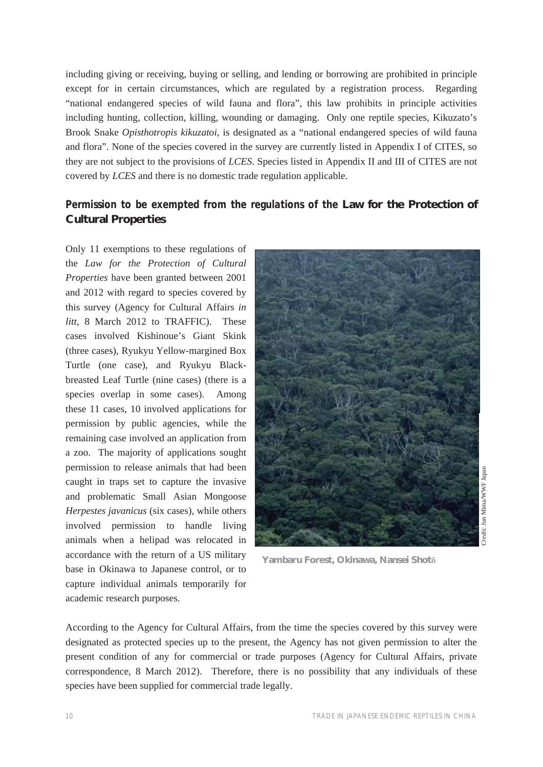including giving or receiving, buying or selling, and lending or borrowing are prohibited in principle except for in certain circumstances, which are regulated by a registration process. Regarding "national endangered species of wild fauna and flora", this law prohibits in principle activities including hunting, collection, killing, wounding or damaging. Only one reptile species, Kikuzato's Brook Snake *Opisthotropis kikuzatoi*, is designated as a "national endangered species of wild fauna and flora". None of the species covered in the survey are currently listed in Appendix I of CITES, so they are not subject to the provisions of *LCES*. Species listed in Appendix II and III of CITES are not covered by *LCES* and there is no domestic trade regulation applicable.

### *Permission to be exempted from the regulations of the* **Law for the Protection of Cultural Properties**

Only 11 exemptions to these regulations of the *Law for the Protection of Cultural Properties* have been granted between 2001 and 2012 with regard to species covered by this survey (Agency for Cultural Affairs *in litt,* 8 March 2012 to TRAFFIC). These cases involved Kishinoue's Giant Skink (three cases), Ryukyu Yellow-margined Box Turtle (one case), and Ryukyu Blackbreasted Leaf Turtle (nine cases) (there is a species overlap in some cases). Among these 11 cases, 10 involved applications for permission by public agencies, while the remaining case involved an application from a zoo. The majority of applications sought permission to release animals that had been caught in traps set to capture the invasive and problematic Small Asian Mongoose *Herpestes javanicus* (six cases), while others involved permission to handle living animals when a helipad was relocated in accordance with the return of a US military base in Okinawa to Japanese control, or to capture individual animals temporarily for academic research purposes.



**Yambaru Forest, Okinawa, Nansei Shot**ō

According to the Agency for Cultural Affairs, from the time the species covered by this survey were designated as protected species up to the present, the Agency has not given permission to alter the present condition of any for commercial or trade purposes (Agency for Cultural Affairs, private correspondence, 8 March 2012). Therefore, there is no possibility that any individuals of these species have been supplied for commercial trade legally.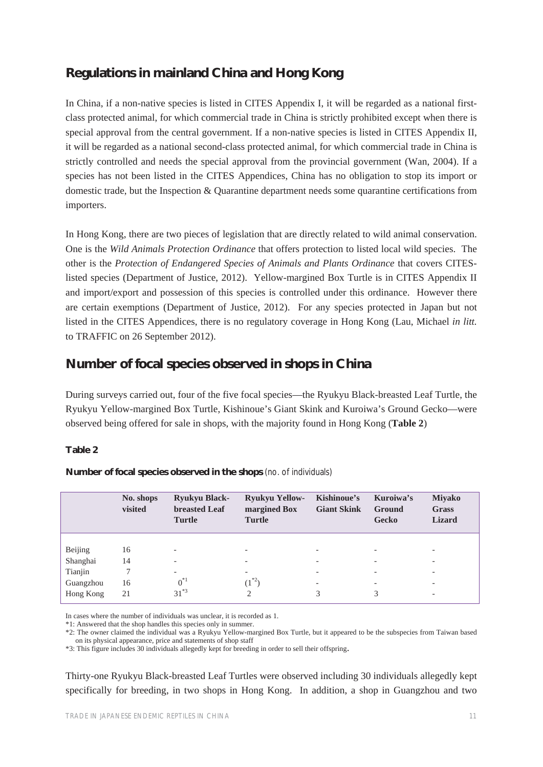## **Regulations in mainland China and Hong Kong**

In China, if a non-native species is listed in CITES Appendix I, it will be regarded as a national firstclass protected animal, for which commercial trade in China is strictly prohibited except when there is special approval from the central government. If a non-native species is listed in CITES Appendix II, it will be regarded as a national second-class protected animal, for which commercial trade in China is strictly controlled and needs the special approval from the provincial government (Wan, 2004). If a species has not been listed in the CITES Appendices, China has no obligation to stop its import or domestic trade, but the Inspection & Quarantine department needs some quarantine certifications from importers.

In Hong Kong, there are two pieces of legislation that are directly related to wild animal conservation. One is the *Wild Animals Protection Ordinance* that offers protection to listed local wild species. The other is the *Protection of Endangered Species of Animals and Plants Ordinance* that covers CITESlisted species (Department of Justice, 2012). Yellow-margined Box Turtle is in CITES Appendix II and import/export and possession of this species is controlled under this ordinance. However there are certain exemptions (Department of Justice, 2012). For any species protected in Japan but not listed in the CITES Appendices, there is no regulatory coverage in Hong Kong (Lau, Michael *in litt.* to TRAFFIC on 26 September 2012).

## **Number of focal species observed in shops in China**

During surveys carried out, four of the five focal species—the Ryukyu Black-breasted Leaf Turtle, the Ryukyu Yellow-margined Box Turtle, Kishinoue's Giant Skink and Kuroiwa's Ground Gecko—were observed being offered for sale in shops, with the majority found in Hong Kong (**Table 2**)

#### **Table 2**

|           | No. shops<br>visited | <b>Ryukyu Black-</b><br><b>breasted Leaf</b><br><b>Turtle</b> | <b>Ryukyu Yellow-</b><br>margined Box<br><b>Turtle</b> | Kishinoue's<br><b>Giant Skink</b> | Kuroiwa's<br><b>Ground</b><br>Gecko | <b>Miyako</b><br><b>Grass</b><br><b>Lizard</b> |
|-----------|----------------------|---------------------------------------------------------------|--------------------------------------------------------|-----------------------------------|-------------------------------------|------------------------------------------------|
|           |                      |                                                               |                                                        |                                   |                                     |                                                |
| Beijing   | 16                   | $\overline{\phantom{0}}$                                      | -                                                      | $\overline{\phantom{0}}$          |                                     | $\overline{\phantom{0}}$                       |
| Shanghai  | 14                   | -                                                             | -                                                      |                                   |                                     | $\overline{\phantom{a}}$                       |
| Tianjin   |                      | -                                                             | -                                                      |                                   |                                     | $\qquad \qquad$                                |
| Guangzhou | 16                   | $0^{*1}$                                                      | $(1^{*2})$                                             | $\overline{\phantom{0}}$          |                                     | $\overline{\phantom{a}}$                       |
| Hong Kong | 21                   | $31^{*3}$                                                     | 2                                                      | 3                                 | 3                                   | $\overline{\phantom{a}}$                       |

**Number of focal species observed in the shops** (no. of individuals)

In cases where the number of individuals was unclear, it is recorded as 1.

\*1: Answered that the shop handles this species only in summer.

\*2: The owner claimed the individual was a Ryukyu Yellow-margined Box Turtle, but it appeared to be the subspecies from Taiwan based on its physical appearance, price and statements of shop staff

\*3: This figure includes 30 individuals allegedly kept for breeding in order to sell their offspring.

Thirty-one Ryukyu Black-breasted Leaf Turtles were observed including 30 individuals allegedly kept specifically for breeding, in two shops in Hong Kong. In addition, a shop in Guangzhou and two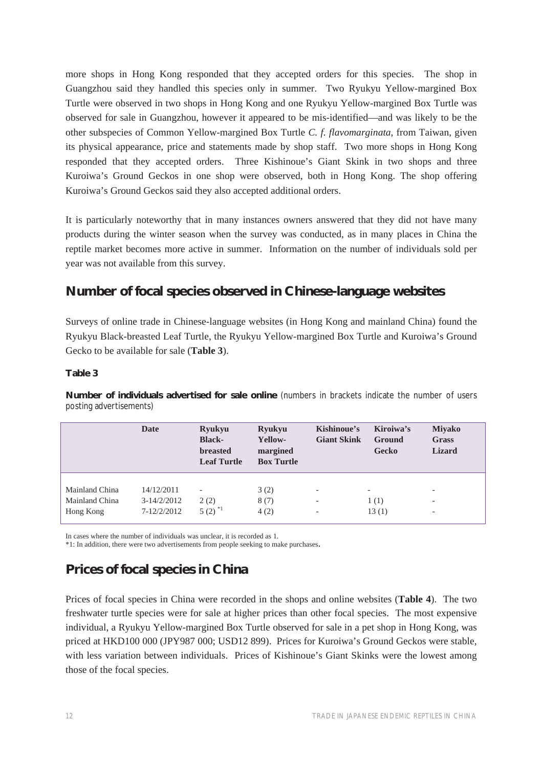more shops in Hong Kong responded that they accepted orders for this species. The shop in Guangzhou said they handled this species only in summer. Two Ryukyu Yellow-margined Box Turtle were observed in two shops in Hong Kong and one Ryukyu Yellow-margined Box Turtle was observed for sale in Guangzhou, however it appeared to be mis-identified—and was likely to be the other subspecies of Common Yellow-margined Box Turtle *C. f. flavomarginata,* from Taiwan, given its physical appearance, price and statements made by shop staff. Two more shops in Hong Kong responded that they accepted orders. Three Kishinoue's Giant Skink in two shops and three Kuroiwa's Ground Geckos in one shop were observed, both in Hong Kong. The shop offering Kuroiwa's Ground Geckos said they also accepted additional orders.

It is particularly noteworthy that in many instances owners answered that they did not have many products during the winter season when the survey was conducted, as in many places in China the reptile market becomes more active in summer. Information on the number of individuals sold per year was not available from this survey.

## **Number of focal species observed in Chinese-language websites**

Surveys of online trade in Chinese-language websites (in Hong Kong and mainland China) found the Ryukyu Black-breasted Leaf Turtle, the Ryukyu Yellow-margined Box Turtle and Kuroiwa's Ground Gecko to be available for sale (**Table 3**).

#### **Table 3**

**Number of individuals advertised for sale online** (numbers in brackets indicate the number of users posting advertisements)

|                | Date          | <b>Ryukyu</b><br><b>Black-</b><br><b>breasted</b><br><b>Leaf Turtle</b> | <b>Ryukyu</b><br>Yellow-<br>margined<br><b>Box Turtle</b> | Kishinoue's<br><b>Giant Skink</b> | Kiroiwa's<br><b>Ground</b><br>Gecko | <b>Miyako</b><br>Grass<br><b>Lizard</b> |
|----------------|---------------|-------------------------------------------------------------------------|-----------------------------------------------------------|-----------------------------------|-------------------------------------|-----------------------------------------|
| Mainland China | 14/12/2011    | $\overline{\phantom{a}}$                                                | 3(2)                                                      | $\overline{\phantom{0}}$          | $\overline{\phantom{a}}$            | $\overline{\phantom{0}}$                |
| Mainland China | $3-14/2/2012$ | 2(2)                                                                    | 8(7)                                                      | $\overline{\phantom{0}}$          | 1(1)                                | -                                       |
| Hong Kong      | 7-12/2/2012   | $5(2)^{1}$                                                              | 4(2)                                                      | $\overline{\phantom{0}}$          | 13(1)                               | $\overline{\phantom{a}}$                |

In cases where the number of individuals was unclear, it is recorded as 1.

\*1: In addition, there were two advertisements from people seeking to make purchases.

## **Prices of focal species in China**

Prices of focal species in China were recorded in the shops and online websites (**Table 4**). The two freshwater turtle species were for sale at higher prices than other focal species. The most expensive individual, a Ryukyu Yellow-margined Box Turtle observed for sale in a pet shop in Hong Kong, was priced at HKD100 000 (JPY987 000; USD12 899). Prices for Kuroiwa's Ground Geckos were stable, with less variation between individuals. Prices of Kishinoue's Giant Skinks were the lowest among those of the focal species.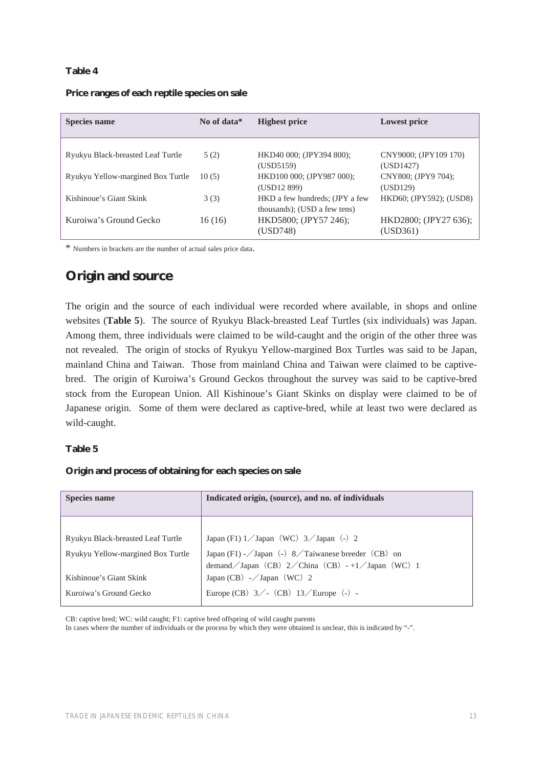#### **Table 4**

| <b>Species name</b>               | No of data* | <b>Highest price</b>                                           | <b>Lowest price</b>                |
|-----------------------------------|-------------|----------------------------------------------------------------|------------------------------------|
| Ryukyu Black-breasted Leaf Turtle | 5(2)        | HKD40 000; (JPY394 800);<br>(USD5159)                          | CNY9000; (JPY109 170)<br>(USD1427) |
| Ryukyu Yellow-margined Box Turtle | 10(5)       | HKD100 000; (JPY987 000);<br>(USD12 899)                       | CNY800; (JPY9 704);<br>(USD129)    |
| Kishinoue's Giant Skink           | 3(3)        | HKD a few hundreds; (JPY a few<br>thousands); (USD a few tens) | HKD60; (JPY592); (USD8)            |
| Kuroiwa's Ground Gecko            | 16 (16)     | HKD5800; (JPY57 246);<br>(USD748)                              | HKD2800; (JPY27 636);<br>(USD361)  |

#### **Price ranges of each reptile species on sale**

\* Numbers in brackets are the number of actual sales price data.

### **Origin and source**

The origin and the source of each individual were recorded where available, in shops and online websites (**Table 5**). The source of Ryukyu Black-breasted Leaf Turtles (six individuals) was Japan. Among them, three individuals were claimed to be wild-caught and the origin of the other three was not revealed. The origin of stocks of Ryukyu Yellow-margined Box Turtles was said to be Japan, mainland China and Taiwan. Those from mainland China and Taiwan were claimed to be captivebred. The origin of Kuroiwa's Ground Geckos throughout the survey was said to be captive-bred stock from the European Union. All Kishinoue's Giant Skinks on display were claimed to be of Japanese origin. Some of them were declared as captive-bred, while at least two were declared as wild-caught.

#### **Table 5**

#### **Origin and process of obtaining for each species on sale**

| <b>Species name</b>               | Indicated origin, (source), and no. of individuals                                                                             |  |
|-----------------------------------|--------------------------------------------------------------------------------------------------------------------------------|--|
|                                   |                                                                                                                                |  |
| Ryukyu Black-breasted Leaf Turtle | Japan (F1) $1$ Japan (WC) $3$ Japan (-) 2                                                                                      |  |
| Ryukyu Yellow-margined Box Turtle | Japan (F1) - $\sqrt{$ Japan (-) 8 $\sqrt{}$ Taiwanese breeder (CB) on<br>demand / Japan (CB) 2 / China (CB) -+1 / Japan (WC) 1 |  |
| Kishinoue's Giant Skink           | Japan (CB) $-\sqrt{Japan}$ (WC) 2                                                                                              |  |
| Kuroiwa's Ground Gecko            | Europe (CB) $3/-(CB)$ 13/Europe (-) -                                                                                          |  |

CB: captive bred; WC: wild caught; F1: captive bred offspring of wild caught parents

In cases where the number of individuals or the process by which they were obtained is unclear, this is indicated by "-".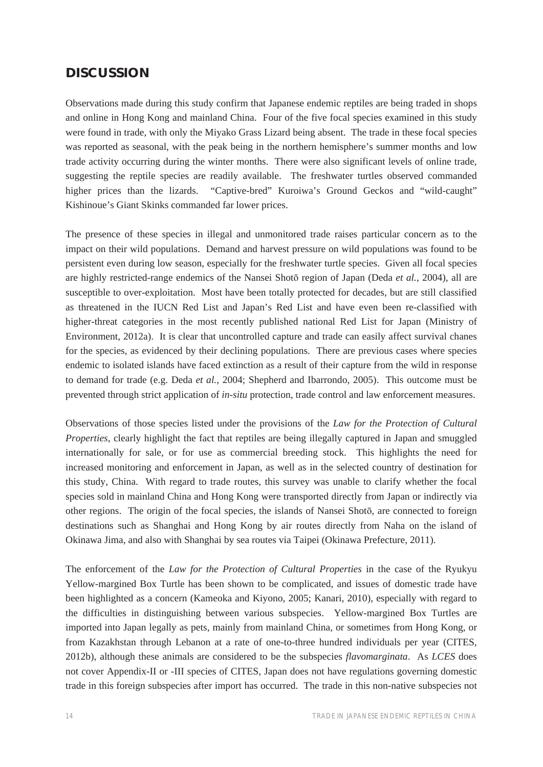## **DISCUSSION**

Observations made during this study confirm that Japanese endemic reptiles are being traded in shops and online in Hong Kong and mainland China. Four of the five focal species examined in this study were found in trade, with only the Miyako Grass Lizard being absent. The trade in these focal species was reported as seasonal, with the peak being in the northern hemisphere's summer months and low trade activity occurring during the winter months. There were also significant levels of online trade, suggesting the reptile species are readily available. The freshwater turtles observed commanded higher prices than the lizards. "Captive-bred" Kuroiwa's Ground Geckos and "wild-caught" Kishinoue's Giant Skinks commanded far lower prices.

The presence of these species in illegal and unmonitored trade raises particular concern as to the impact on their wild populations. Demand and harvest pressure on wild populations was found to be persistent even during low season, especially for the freshwater turtle species. Given all focal species are highly restricted-range endemics of the Nansei Shotō region of Japan (Deda *et al.*, 2004), all are susceptible to over-exploitation. Most have been totally protected for decades, but are still classified as threatened in the IUCN Red List and Japan's Red List and have even been re-classified with higher-threat categories in the most recently published national Red List for Japan (Ministry of Environment, 2012a). It is clear that uncontrolled capture and trade can easily affect survival chanes for the species, as evidenced by their declining populations. There are previous cases where species endemic to isolated islands have faced extinction as a result of their capture from the wild in response to demand for trade (e.g. Deda *et al.*, 2004; Shepherd and Ibarrondo, 2005). This outcome must be prevented through strict application of *in-situ* protection, trade control and law enforcement measures.

Observations of those species listed under the provisions of the *Law for the Protection of Cultural Properties*, clearly highlight the fact that reptiles are being illegally captured in Japan and smuggled internationally for sale, or for use as commercial breeding stock. This highlights the need for increased monitoring and enforcement in Japan, as well as in the selected country of destination for this study, China. With regard to trade routes, this survey was unable to clarify whether the focal species sold in mainland China and Hong Kong were transported directly from Japan or indirectly via other regions. The origin of the focal species, the islands of Nansei Shotō, are connected to foreign destinations such as Shanghai and Hong Kong by air routes directly from Naha on the island of Okinawa Jima, and also with Shanghai by sea routes via Taipei (Okinawa Prefecture, 2011).

The enforcement of the *Law for the Protection of Cultural Properties* in the case of the Ryukyu Yellow-margined Box Turtle has been shown to be complicated, and issues of domestic trade have been highlighted as a concern (Kameoka and Kiyono, 2005; Kanari, 2010), especially with regard to the difficulties in distinguishing between various subspecies. Yellow-margined Box Turtles are imported into Japan legally as pets, mainly from mainland China, or sometimes from Hong Kong, or from Kazakhstan through Lebanon at a rate of one-to-three hundred individuals per year (CITES, 2012b), although these animals are considered to be the subspecies *flavomarginata*. As *LCES* does not cover Appendix-II or -III species of CITES, Japan does not have regulations governing domestic trade in this foreign subspecies after import has occurred. The trade in this non-native subspecies not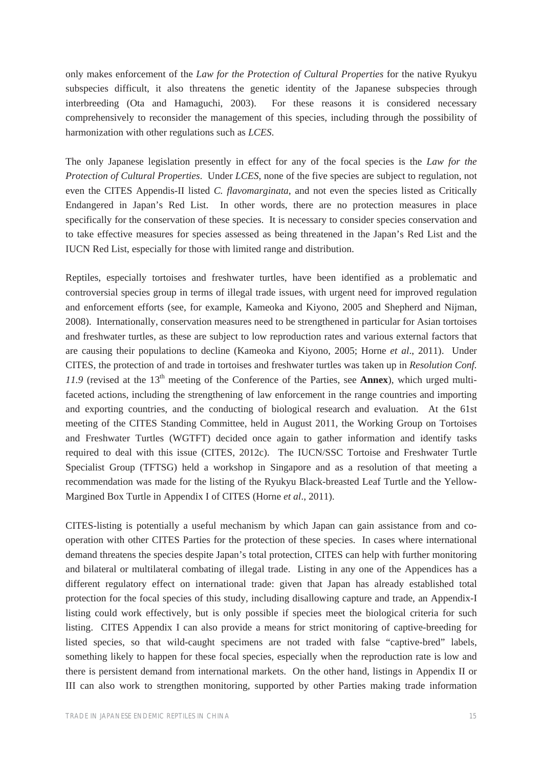only makes enforcement of the *Law for the Protection of Cultural Properties* for the native Ryukyu subspecies difficult, it also threatens the genetic identity of the Japanese subspecies through interbreeding (Ota and Hamaguchi, 2003). For these reasons it is considered necessary comprehensively to reconsider the management of this species, including through the possibility of harmonization with other regulations such as *LCES*.

The only Japanese legislation presently in effect for any of the focal species is the *Law for the Protection of Cultural Properties*. Under *LCES*, none of the five species are subject to regulation, not even the CITES Appendis-II listed *C. flavomarginata*, and not even the species listed as Critically Endangered in Japan's Red List. In other words, there are no protection measures in place specifically for the conservation of these species. It is necessary to consider species conservation and to take effective measures for species assessed as being threatened in the Japan's Red List and the IUCN Red List, especially for those with limited range and distribution.

Reptiles, especially tortoises and freshwater turtles, have been identified as a problematic and controversial species group in terms of illegal trade issues, with urgent need for improved regulation and enforcement efforts (see, for example, Kameoka and Kiyono, 2005 and Shepherd and Nijman, 2008). Internationally, conservation measures need to be strengthened in particular for Asian tortoises and freshwater turtles, as these are subject to low reproduction rates and various external factors that are causing their populations to decline (Kameoka and Kiyono, 2005; Horne *et al*., 2011). Under CITES, the protection of and trade in tortoises and freshwater turtles was taken up in *Resolution Conf.*  11.9 (revised at the 13<sup>th</sup> meeting of the Conference of the Parties, see **Annex**), which urged multifaceted actions, including the strengthening of law enforcement in the range countries and importing and exporting countries, and the conducting of biological research and evaluation. At the 61st meeting of the CITES Standing Committee, held in August 2011, the Working Group on Tortoises and Freshwater Turtles (WGTFT) decided once again to gather information and identify tasks required to deal with this issue (CITES, 2012c). The IUCN/SSC Tortoise and Freshwater Turtle Specialist Group (TFTSG) held a workshop in Singapore and as a resolution of that meeting a recommendation was made for the listing of the Ryukyu Black-breasted Leaf Turtle and the Yellow-Margined Box Turtle in Appendix I of CITES (Horne *et al*., 2011).

CITES-listing is potentially a useful mechanism by which Japan can gain assistance from and cooperation with other CITES Parties for the protection of these species. In cases where international demand threatens the species despite Japan's total protection, CITES can help with further monitoring and bilateral or multilateral combating of illegal trade. Listing in any one of the Appendices has a different regulatory effect on international trade: given that Japan has already established total protection for the focal species of this study, including disallowing capture and trade, an Appendix-I listing could work effectively, but is only possible if species meet the biological criteria for such listing. CITES Appendix I can also provide a means for strict monitoring of captive-breeding for listed species, so that wild-caught specimens are not traded with false "captive-bred" labels, something likely to happen for these focal species, especially when the reproduction rate is low and there is persistent demand from international markets. On the other hand, listings in Appendix II or III can also work to strengthen monitoring, supported by other Parties making trade information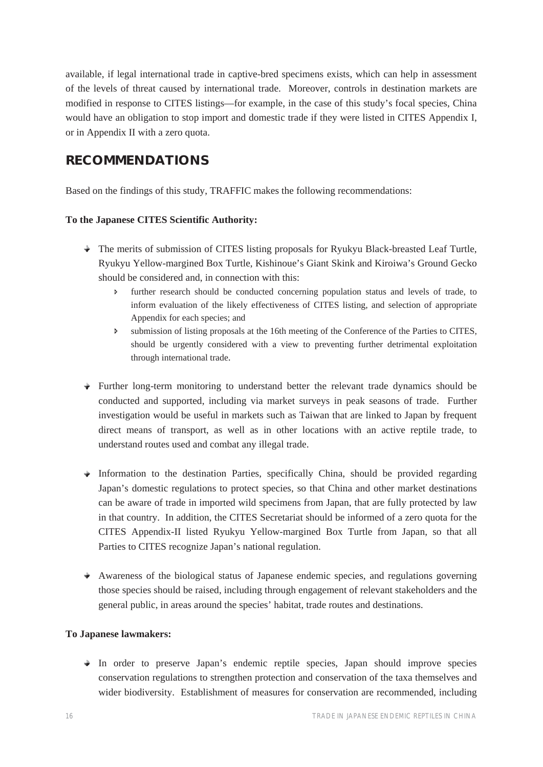available, if legal international trade in captive-bred specimens exists, which can help in assessment of the levels of threat caused by international trade. Moreover, controls in destination markets are modified in response to CITES listings—for example, in the case of this study's focal species, China would have an obligation to stop import and domestic trade if they were listed in CITES Appendix I, or in Appendix II with a zero quota.

## **RECOMMENDATIONS**

Based on the findings of this study, TRAFFIC makes the following recommendations:

### **To the Japanese CITES Scientific Authority:**

- The merits of submission of CITES listing proposals for Ryukyu Black-breasted Leaf Turtle, Ryukyu Yellow-margined Box Turtle, Kishinoue's Giant Skink and Kiroiwa's Ground Gecko should be considered and, in connection with this:
	- Ð further research should be conducted concerning population status and levels of trade, to inform evaluation of the likely effectiveness of CITES listing, and selection of appropriate Appendix for each species; and
	- $\triangleright$  submission of listing proposals at the 16th meeting of the Conference of the Parties to CITES, should be urgently considered with a view to preventing further detrimental exploitation through international trade.
- Further long-term monitoring to understand better the relevant trade dynamics should be conducted and supported, including via market surveys in peak seasons of trade. Further investigation would be useful in markets such as Taiwan that are linked to Japan by frequent direct means of transport, as well as in other locations with an active reptile trade, to understand routes used and combat any illegal trade.
- $\rightarrow$  Information to the destination Parties, specifically China, should be provided regarding Japan's domestic regulations to protect species, so that China and other market destinations can be aware of trade in imported wild specimens from Japan, that are fully protected by law in that country. In addition, the CITES Secretariat should be informed of a zero quota for the CITES Appendix-II listed Ryukyu Yellow-margined Box Turtle from Japan, so that all Parties to CITES recognize Japan's national regulation.
- $\rightarrow$  Awareness of the biological status of Japanese endemic species, and regulations governing those species should be raised, including through engagement of relevant stakeholders and the general public, in areas around the species' habitat, trade routes and destinations.

#### **To Japanese lawmakers:**

 $\rightarrow$  In order to preserve Japan's endemic reptile species, Japan should improve species conservation regulations to strengthen protection and conservation of the taxa themselves and wider biodiversity. Establishment of measures for conservation are recommended, including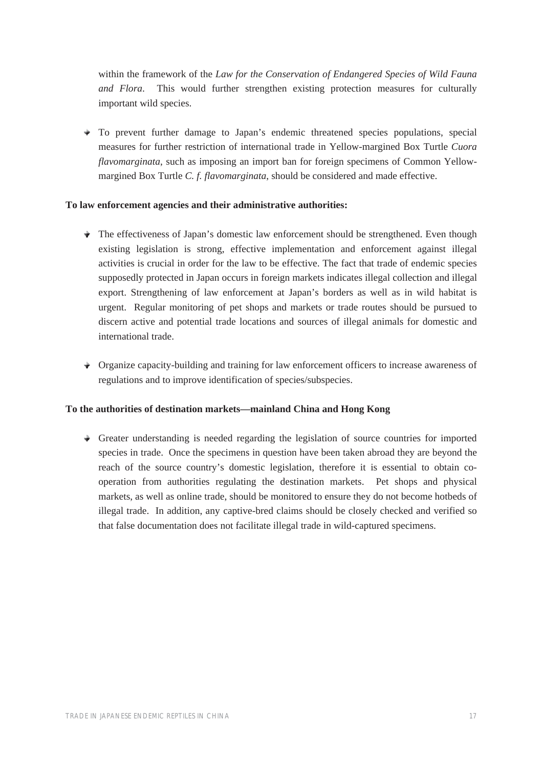within the framework of the *Law for the Conservation of Endangered Species of Wild Fauna and Flora*. This would further strengthen existing protection measures for culturally important wild species.

 $\rightarrow$  To prevent further damage to Japan's endemic threatened species populations, special measures for further restriction of international trade in Yellow-margined Box Turtle *Cuora flavomarginata*, such as imposing an import ban for foreign specimens of Common Yellowmargined Box Turtle *C. f. flavomarginata*, should be considered and made effective.

#### **To law enforcement agencies and their administrative authorities:**

- $\triangle$  The effectiveness of Japan's domestic law enforcement should be strengthened. Even though existing legislation is strong, effective implementation and enforcement against illegal activities is crucial in order for the law to be effective. The fact that trade of endemic species supposedly protected in Japan occurs in foreign markets indicates illegal collection and illegal export. Strengthening of law enforcement at Japan's borders as well as in wild habitat is urgent. Regular monitoring of pet shops and markets or trade routes should be pursued to discern active and potential trade locations and sources of illegal animals for domestic and international trade.
- Organize capacity-building and training for law enforcement officers to increase awareness of regulations and to improve identification of species/subspecies.

#### **To the authorities of destination markets—mainland China and Hong Kong**

 $\rightarrow$  Greater understanding is needed regarding the legislation of source countries for imported species in trade. Once the specimens in question have been taken abroad they are beyond the reach of the source country's domestic legislation, therefore it is essential to obtain cooperation from authorities regulating the destination markets. Pet shops and physical markets, as well as online trade, should be monitored to ensure they do not become hotbeds of illegal trade. In addition, any captive-bred claims should be closely checked and verified so that false documentation does not facilitate illegal trade in wild-captured specimens.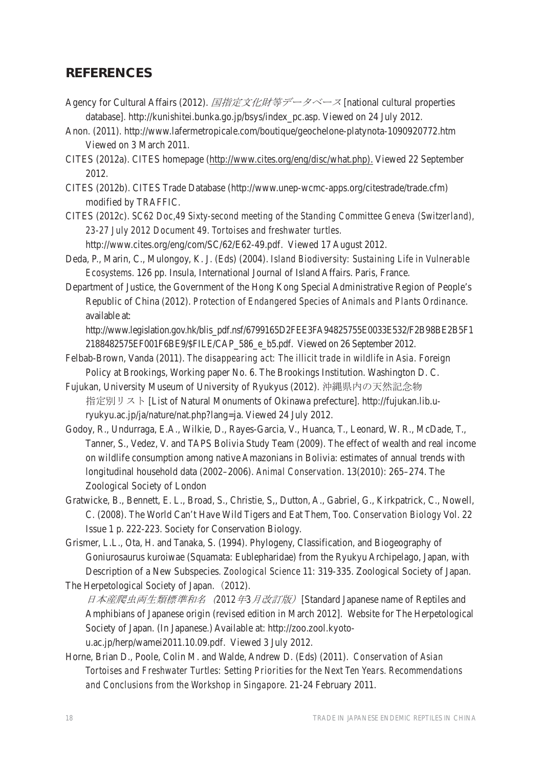### **REFERENCES**

- Agency for Cultural Affairs (2012). 国指定文化財等データベース [national cultural properties database]*.* http://kunishitei.bunka.go.jp/bsys/index\_pc.asp. Viewed on 24 July 2012.
- Anon. (2011). http://www.lafermetropicale.com/boutique/geochelone-platynota-1090920772.htm Viewed on 3 March 2011.
- CITES (2012a). CITES homepage (http://www.cites.org/eng/disc/what.php). Viewed 22 September 2012.
- CITES (2012b). CITES Trade Database (http://www.unep-wcmc-apps.org/citestrade/trade.cfm) modified by TRAFFIC.
- CITES (2012c). *SC62 Doc,49 Sixty-second meeting of the Standing Committee Geneva (Switzerland), 23-27 July 2012 Document 49. Tortoises and freshwater turtles.*

http://www.cites.org/eng/com/SC/62/E62-49.pdf. Viewed 17 August 2012.

- Deda, P., Marin, C., Mulongoy, K. J. (Eds) (2004). *Island Biodiversity: Sustaining Life in Vulnerable Ecosystems*. 126 pp. Insula, International Journal of Island Affairs. Paris, France.
- Department of Justice, the Government of the Hong Kong Special Administrative Region of People's Republic of China (2012). *Protection of Endangered Species of Animals and Plants Ordinance*. available at:

http://www.legislation.gov.hk/blis\_pdf.nsf/6799165D2FEE3FA94825755E0033E532/F2B98BE2B5F1 2188482575EF001F6BE9/\$FILE/CAP\_586\_e\_b5.pdf. Viewed on 26 September 2012.

- Felbab-Brown, Vanda (2011). *The disappearing act: The illicit trade in wildlife in Asia.* Foreign Policy at Brookings, Working paper No. 6. The Brookings Institution. Washington D. C.
- Fujukan, University Museum of University of Ryukyus (2012). 沖縄県内の天然記念物 指定別リスト [List of Natural Monuments of Okinawa prefecture]. http://fujukan.lib.uryukyu.ac.jp/ja/nature/nat.php?lang=ja. Viewed 24 July 2012.
- Godoy, R., Undurraga, E.A., Wilkie, D., Rayes-Garcia, V., Huanca, T., Leonard, W. R., McDade, T., Tanner, S., Vedez, V. and TAPS Bolivia Study Team (2009). The effect of wealth and real income on wildlife consumption among native Amazonians in Bolivia: estimates of annual trends with longitudinal household data (2002–2006). *Animal Conservation*. 13(2010): 265–274. The Zoological Society of London
- Gratwicke, B., Bennett, E. L., Broad, S., Christie, S,, Dutton, A., Gabriel, G., Kirkpatrick, C., Nowell, C. (2008). The World Can't Have Wild Tigers and Eat Them, Too*. Conservation Biology* Vol. 22 Issue 1 p. 222-223. Society for Conservation Biology.
- Grismer, L.L., Ota, H. and Tanaka, S. (1994). Phylogeny, Classification, and Biogeography of Goniurosaurus kuroiwae (Squamata: Eublepharidae) from the Ryukyu Archipelago, Japan, with Description of a New Subspecies*. Zoological Science* 11: 319-335. Zoological Society of Japan. The Herpetological Society of Japan. (2012).
- 日本産爬虫両生類標準和名 (2012年3月改訂版) [Standard Japanese name of Reptiles and Amphibians of Japanese origin (revised edition in March 2012]. Website for The Herpetological Society of Japan. (In Japanese.) Available at: http://zoo.zool.kyotou.ac.jp/herp/wamei2011.10.09.pdf. Viewed 3 July 2012.
- Horne, Brian D., Poole, Colin M. and Walde, Andrew D. (Eds) (2011). *Conservation of Asian Tortoises and Freshwater Turtles: Setting Priorities for the Next Ten Years. Recommendations and Conclusions from the Workshop in Singapore.* 21-24 February 2011.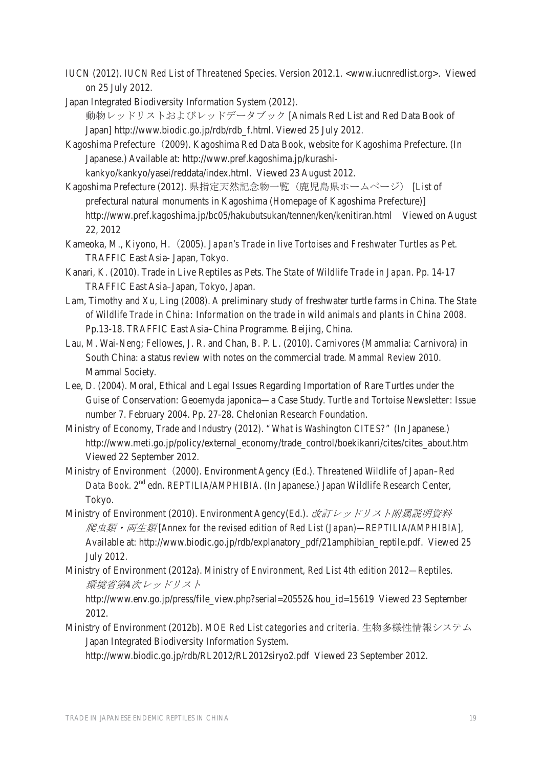IUCN (2012). *IUCN Red List of Threatened Species*. Version 2012.1. <www.iucnredlist.org>. Viewed on 25 July 2012.

Japan Integrated Biodiversity Information System (2012).

動物レッドリストおよびレッドデータブック [Animals Red List and Red Data Book of Japan] http://www.biodic.go.jp/rdb/rdb\_f.html. Viewed 25 July 2012.

- Kagoshima Prefecture (2009). Kagoshima Red Data Book, website for Kagoshima Prefecture. (In Japanese.) Available at: http://www.pref.kagoshima.jp/kurashikankyo/kankyo/yasei/reddata/index.html. Viewed 23 August 2012.
- Kagoshima Prefecture (2012). 県指定天然記念物一覧 (鹿児島県ホームページ) [List of prefectural natural monuments in Kagoshima (Homepage of Kagoshima Prefecture)] http://www.pref.kagoshima.jp/bc05/hakubutsukan/tennen/ken/kenitiran.html Viewed on August 22, 2012
- Kameoka, M., Kiyono, H.㸦2005). *Japan's Trade in live Tortoises and Freshwater Turtles as Pet.*  TRAFFIC East Asia- Japan, Tokyo.
- Kanari, K. (2010). Trade in Live Reptiles as Pets. *The State of Wildlife Trade in Japan*. Pp. 14-17 TRAFFIC East Asia–Japan, Tokyo, Japan.
- Lam, Timothy and Xu, Ling (2008). A preliminary study of freshwater turtle farms in China. *The State of Wildlife Trade in China: Information on the trade in wild animals and plants in China 2008*. Pp.13-18. TRAFFIC East Asia–China Programme. Beijing, China.
- Lau, M. Wai-Neng; Fellowes, J. R. and Chan, B. P. L. (2010). Carnivores (Mammalia: Carnivora) in South China: a status review with notes on the commercial trade*. Mammal Review 2010*. Mammal Society.
- Lee, D. (2004). Moral, Ethical and Legal Issues Regarding Importation of Rare Turtles under the Guise of Conservation: Geoemyda japonica—a Case Study. *Turtle and Tortoise Newsletter*: Issue number 7. February 2004. Pp. 27-28. Chelonian Research Foundation.
- Ministry of Economy, Trade and Industry (2012). *"What is Washington CITES?"* (In Japanese.) http://www.meti.go.jp/policy/external\_economy/trade\_control/boekikanri/cites/cites\_about.htm Viewed 22 September 2012.
- Ministry of Environment㸦2000). Environment Agency (Ed.). *Threatened Wildlife of Japan–Red*  Data Book. 2<sup>nd</sup> edn. *REPTILIA/AMPHIBIA*. (In Japanese.) Japan Wildlife Research Center, Tokyo.
- Ministry of Environment (2010). Environment Agency(Ed.). 改訂レッドリスト附属説明資料 ∐㢮࣭୧⏕㢮 [*Annex for the revised edition of Red List (Japan)—REPTILIA/AMPHIBIA*], Available at: http://www.biodic.go.jp/rdb/explanatory\_pdf/21amphibian\_reptile.pdf. Viewed 25 July 2012.
- Ministry of Environment (2012a). *Ministry of Environment, Red List 4th edition 2012—Reptiles.*  環境省第4次レッドリスト

http://www.env.go.jp/press/file\_view.php?serial=20552&hou\_id=15619 Viewed 23 September 2012.

Ministry of Environment (2012b). MOE Red List categories and criteria. 生物多様性情報システム Japan Integrated Biodiversity Information System.

http://www.biodic.go.jp/rdb/RL2012/RL2012siryo2.pdf Viewed 23 September 2012.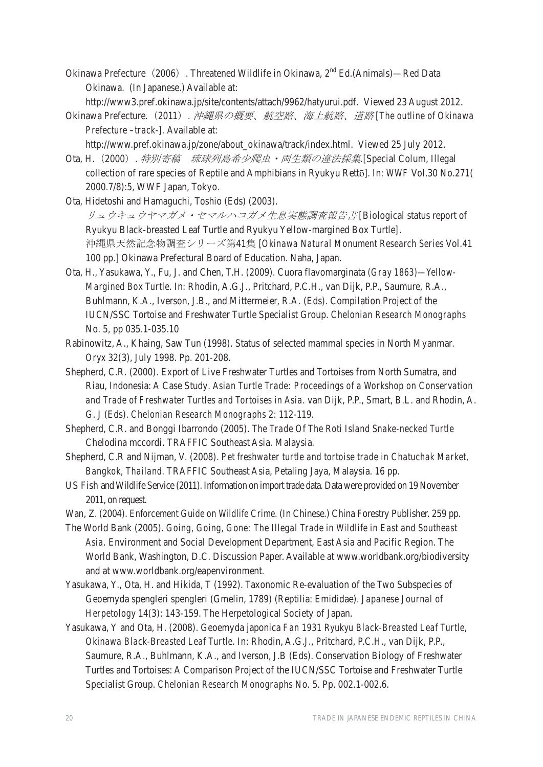- Okinawa Prefecture (2006). Threatened Wildlife in Okinawa, 2<sup>nd</sup> Ed.(Animals)—Red Data Okinawa. (In Japanese.) Available at:
	- http://www3.pref.okinawa.jp/site/contents/attach/9962/hatyurui.pdf. Viewed 23 August 2012.
- Okinawa Prefecture. (2011) . 沖縄県の概要、航空路、海上航路、道路 [The outline of Okinawa *Prefecture –track-].* Available at:
- http://www.pref.okinawa.jp/zone/about\_okinawa/track/index.html. Viewed 25 July 2012. Ota, H. (2000). 特別寄稿 琉球列島希少爬虫・両生類の違法採集.[Special Colum, Illegal
- collection of rare species of Reptile and Amphibians in Ryukyu Rettō]. In: *WWF Vol.30 No.271* ( 2000.7/8):5, WWF Japan, Tokyo.
- Ota, Hidetoshi and Hamaguchi, Toshio (Eds) (2003). ࣓࢞ࢥࣁ࣐ࣝࢭ࣭࣓࣐࢞ࣖ࢘ࣗ࢟࢘ࣗࣜ⏕ᜥᐇែㄪᰝሗ࿌᭩ *[*Biological status report of Ryukyu Black-breasted Leaf Turtle and Ryukyu Yellow-margined Box Turtle*].* 沖縄県天然記念物調査シリーズ第41集 [Okinawa Natural Monument Research Series Vol.41 100 pp.] Okinawa Prefectural Board of Education. Naha, Japan.
- Ota, H., Yasukawa, Y., Fu, J. and Chen, T.H. (2009). Cuora flavomarginata *(Gray 1863)—Yellow-Margined Box Turtle.* In: Rhodin, A.G.J., Pritchard, P.C.H., van Dijk, P.P., Saumure, R.A., Buhlmann, K.A., Iverson, J.B., and Mittermeier, R.A. (Eds). Compilation Project of the IUCN/SSC Tortoise and Freshwater Turtle Specialist Group. *Chelonian Research Monographs* No. 5, pp 035.1-035.10
- Rabinowitz, A., Khaing, Saw Tun (1998). Status of selected mammal species in North Myanmar*. Oryx* 32(3), July 1998. Pp. 201-208.
- Shepherd, C.R. (2000). Export of Live Freshwater Turtles and Tortoises from North Sumatra, and Riau, Indonesia: A Case Study*. Asian Turtle Trade: Proceedings of a Workshop on Conservation and Trade of Freshwater Turtles and Tortoises in Asia*. van Dijk, P.P., Smart, B.L. and Rhodin, A. G. J (Eds). *Chelonian Research Monographs* 2: 112-119.
- Shepherd, C.R. and Bonggi Ibarrondo (2005). *The Trade Of The Roti Island Snake-necked Turtle* Chelodina mccordi. TRAFFIC Southeast Asia. Malaysia.
- Shepherd, C.R and Nijman, V. (2008). *Pet freshwater turtle and tortoise trade in Chatuchak Market, Bangkok, Thailand.* TRAFFIC Southeast Asia, Petaling Jaya, Malaysia. 16 pp.
- US Fish and Wildlife Service (2011). Information on import trade data*.* Data were provided on 19 November 2011, on request.
- Wan, Z. (2004). *Enforcement Guide on Wildlife Crime.* (In Chinese.) China Forestry Publisher. 259 pp.
- The World Bank (2005). *Going, Going, Gone: The Illegal Trade in Wildlife in East and Southeast Asia.* Environment and Social Development Department, East Asia and Pacific Region. The World Bank, Washington, D.C. Discussion Paper. Available at www.worldbank.org/biodiversity and at www.worldbank.org/eapenvironment.
- Yasukawa, Y., Ota, H. and Hikida, T (1992). Taxonomic Re-evaluation of the Two Subspecies of Geoemyda spengleri spengleri (Gmelin, 1789) (Reptilia: Emididae). *Japanese Journal of Herpetology* 14(3): 143-159. The Herpetological Society of Japan.
- Yasukawa, Y and Ota, H. (2008). Geoemyda japonica *Fan 1931 Ryukyu Black-Breasted Leaf Turtle, Okinawa Black-Breasted Leaf Turtle.* In: Rhodin, A.G.J., Pritchard, P.C.H., van Dijk, P.P., Saumure, R.A., Buhlmann, K.A., and Iverson, J.B (Eds). Conservation Biology of Freshwater Turtles and Tortoises: A Comparison Project of the IUCN/SSC Tortoise and Freshwater Turtle Specialist Group. *Chelonian Research Monographs* No. 5. Pp. 002.1-002.6.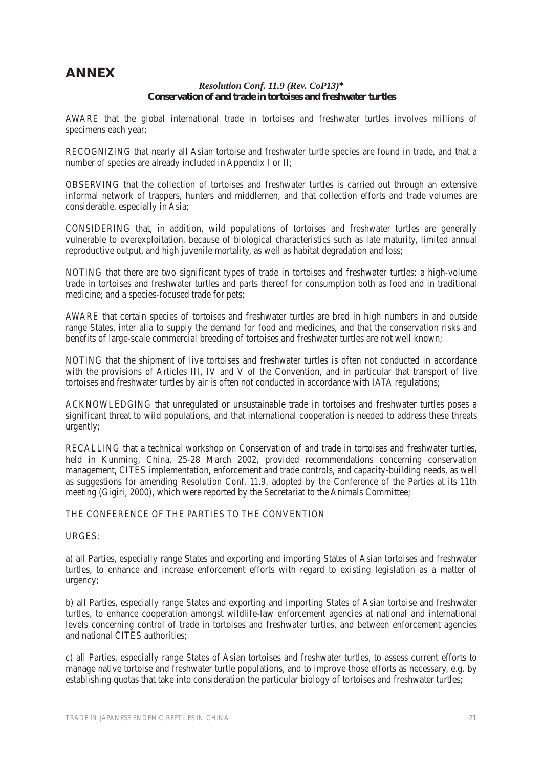## **ANNEX**

*Resolution Conf. 11.9 (Rev. CoP13)***\* Conservation of and trade in tortoises and freshwater turtles** 

AWARE that the global international trade in tortoises and freshwater turtles involves millions of specimens each year;

RECOGNIZING that nearly all Asian tortoise and freshwater turtle species are found in trade, and that a number of species are already included in Appendix I or II;

OBSERVING that the collection of tortoises and freshwater turtles is carried out through an extensive informal network of trappers, hunters and middlemen, and that collection efforts and trade volumes are considerable, especially in Asia;

CONSIDERING that, in addition, wild populations of tortoises and freshwater turtles are generally vulnerable to overexploitation, because of biological characteristics such as late maturity, limited annual reproductive output, and high juvenile mortality, as well as habitat degradation and loss;

NOTING that there are two significant types of trade in tortoises and freshwater turtles: a high-volume trade in tortoises and freshwater turtles and parts thereof for consumption both as food and in traditional medicine; and a species-focused trade for pets;

AWARE that certain species of tortoises and freshwater turtles are bred in high numbers in and outside range States, inter alia to supply the demand for food and medicines, and that the conservation risks and benefits of large-scale commercial breeding of tortoises and freshwater turtles are not well known;

NOTING that the shipment of live tortoises and freshwater turtles is often not conducted in accordance with the provisions of Articles III, IV and V of the Convention, and in particular that transport of live tortoises and freshwater turtles by air is often not conducted in accordance with IATA regulations;

ACKNOWLEDGING that unregulated or unsustainable trade in tortoises and freshwater turtles poses a significant threat to wild populations, and that international cooperation is needed to address these threats urgently;

RECALLING that a technical workshop on Conservation of and trade in tortoises and freshwater turtles, held in Kunming, China, 25-28 March 2002, provided recommendations concerning conservation management, CITES implementation, enforcement and trade controls, and capacity-building needs, as well as suggestions for amending *Resolution Conf. 11.9,* adopted by the Conference of the Parties at its 11th meeting (Gigiri, 2000), which were reported by the Secretariat to the Animals Committee;

#### THE CONFERENCE OF THE PARTIES TO THE CONVENTION

#### URGES:

a) all Parties, especially range States and exporting and importing States of Asian tortoises and freshwater turtles, to enhance and increase enforcement efforts with regard to existing legislation as a matter of urgency;

b) all Parties, especially range States and exporting and importing States of Asian tortoise and freshwater turtles, to enhance cooperation amongst wildlife-law enforcement agencies at national and international levels concerning control of trade in tortoises and freshwater turtles, and between enforcement agencies and national CITES authorities;

c) all Parties, especially range States of Asian tortoises and freshwater turtles, to assess current efforts to manage native tortoise and freshwater turtle populations, and to improve those efforts as necessary, e.g. by establishing quotas that take into consideration the particular biology of tortoises and freshwater turtles;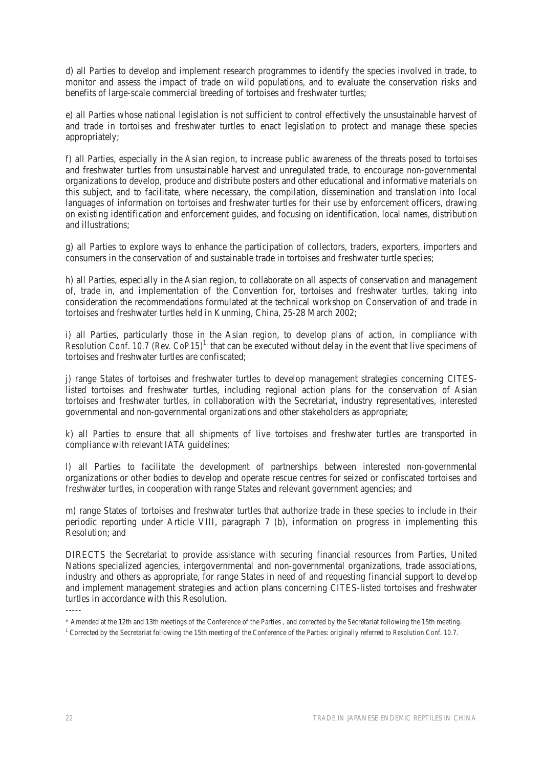d) all Parties to develop and implement research programmes to identify the species involved in trade, to monitor and assess the impact of trade on wild populations, and to evaluate the conservation risks and benefits of large-scale commercial breeding of tortoises and freshwater turtles;

e) all Parties whose national legislation is not sufficient to control effectively the unsustainable harvest of and trade in tortoises and freshwater turtles to enact legislation to protect and manage these species appropriately;

f) all Parties, especially in the Asian region, to increase public awareness of the threats posed to tortoises and freshwater turtles from unsustainable harvest and unregulated trade, to encourage non-governmental organizations to develop, produce and distribute posters and other educational and informative materials on this subject, and to facilitate, where necessary, the compilation, dissemination and translation into local languages of information on tortoises and freshwater turtles for their use by enforcement officers, drawing on existing identification and enforcement guides, and focusing on identification, local names, distribution and illustrations;

g) all Parties to explore ways to enhance the participation of collectors, traders, exporters, importers and consumers in the conservation of and sustainable trade in tortoises and freshwater turtle species;

h) all Parties, especially in the Asian region, to collaborate on all aspects of conservation and management of, trade in, and implementation of the Convention for, tortoises and freshwater turtles, taking into consideration the recommendations formulated at the technical workshop on Conservation of and trade in tortoises and freshwater turtles held in Kunming, China, 25-28 March 2002;

i) all Parties, particularly those in the Asian region, to develop plans of action, in compliance with Resolution Conf. 10.7 (Rev. CoP15)<sup>1,</sup> that can be executed without delay in the event that live specimens of tortoises and freshwater turtles are confiscated;

j) range States of tortoises and freshwater turtles to develop management strategies concerning CITESlisted tortoises and freshwater turtles, including regional action plans for the conservation of Asian tortoises and freshwater turtles, in collaboration with the Secretariat, industry representatives, interested governmental and non-governmental organizations and other stakeholders as appropriate;

k) all Parties to ensure that all shipments of live tortoises and freshwater turtles are transported in compliance with relevant IATA guidelines;

l) all Parties to facilitate the development of partnerships between interested non-governmental organizations or other bodies to develop and operate rescue centres for seized or confiscated tortoises and freshwater turtles, in cooperation with range States and relevant government agencies; and

m) range States of tortoises and freshwater turtles that authorize trade in these species to include in their periodic reporting under Article VIII, paragraph 7 (b), information on progress in implementing this Resolution; and

DIRECTS the Secretariat to provide assistance with securing financial resources from Parties, United Nations specialized agencies, intergovernmental and non-governmental organizations, trade associations, industry and others as appropriate, for range States in need of and requesting financial support to develop and implement management strategies and action plans concerning CITES-listed tortoises and freshwater turtles in accordance with this Resolution.

1 Corrected by the Secretariat following the 15th meeting of the Conference of the Parties: originally referred to *Resolution Conf. 10.7*.

<sup>-----</sup> 

<sup>\*</sup> Amended at the 12th and 13th meetings of the Conference of the Parties , and corrected by the Secretariat following the 15th meeting.